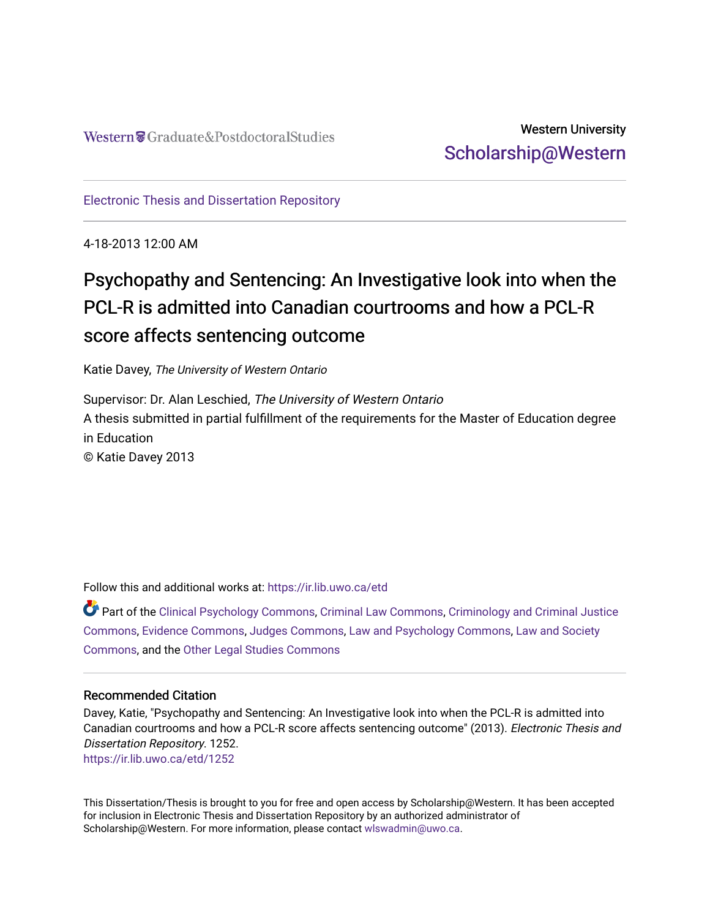### Western University [Scholarship@Western](https://ir.lib.uwo.ca/)

[Electronic Thesis and Dissertation Repository](https://ir.lib.uwo.ca/etd)

4-18-2013 12:00 AM

# Psychopathy and Sentencing: An Investigative look into when the PCL-R is admitted into Canadian courtrooms and how a PCL-R score affects sentencing outcome

Katie Davey, The University of Western Ontario

Supervisor: Dr. Alan Leschied, The University of Western Ontario A thesis submitted in partial fulfillment of the requirements for the Master of Education degree in Education © Katie Davey 2013

Follow this and additional works at: [https://ir.lib.uwo.ca/etd](https://ir.lib.uwo.ca/etd?utm_source=ir.lib.uwo.ca%2Fetd%2F1252&utm_medium=PDF&utm_campaign=PDFCoverPages) 

Part of the [Clinical Psychology Commons,](http://network.bepress.com/hgg/discipline/406?utm_source=ir.lib.uwo.ca%2Fetd%2F1252&utm_medium=PDF&utm_campaign=PDFCoverPages) [Criminal Law Commons,](http://network.bepress.com/hgg/discipline/912?utm_source=ir.lib.uwo.ca%2Fetd%2F1252&utm_medium=PDF&utm_campaign=PDFCoverPages) [Criminology and Criminal Justice](http://network.bepress.com/hgg/discipline/367?utm_source=ir.lib.uwo.ca%2Fetd%2F1252&utm_medium=PDF&utm_campaign=PDFCoverPages) [Commons](http://network.bepress.com/hgg/discipline/367?utm_source=ir.lib.uwo.ca%2Fetd%2F1252&utm_medium=PDF&utm_campaign=PDFCoverPages), [Evidence Commons,](http://network.bepress.com/hgg/discipline/601?utm_source=ir.lib.uwo.ca%2Fetd%2F1252&utm_medium=PDF&utm_campaign=PDFCoverPages) [Judges Commons,](http://network.bepress.com/hgg/discipline/849?utm_source=ir.lib.uwo.ca%2Fetd%2F1252&utm_medium=PDF&utm_campaign=PDFCoverPages) [Law and Psychology Commons,](http://network.bepress.com/hgg/discipline/870?utm_source=ir.lib.uwo.ca%2Fetd%2F1252&utm_medium=PDF&utm_campaign=PDFCoverPages) [Law and Society](http://network.bepress.com/hgg/discipline/853?utm_source=ir.lib.uwo.ca%2Fetd%2F1252&utm_medium=PDF&utm_campaign=PDFCoverPages)  [Commons](http://network.bepress.com/hgg/discipline/853?utm_source=ir.lib.uwo.ca%2Fetd%2F1252&utm_medium=PDF&utm_campaign=PDFCoverPages), and the [Other Legal Studies Commons](http://network.bepress.com/hgg/discipline/370?utm_source=ir.lib.uwo.ca%2Fetd%2F1252&utm_medium=PDF&utm_campaign=PDFCoverPages)

#### Recommended Citation

Davey, Katie, "Psychopathy and Sentencing: An Investigative look into when the PCL-R is admitted into Canadian courtrooms and how a PCL-R score affects sentencing outcome" (2013). Electronic Thesis and Dissertation Repository. 1252. [https://ir.lib.uwo.ca/etd/1252](https://ir.lib.uwo.ca/etd/1252?utm_source=ir.lib.uwo.ca%2Fetd%2F1252&utm_medium=PDF&utm_campaign=PDFCoverPages)

This Dissertation/Thesis is brought to you for free and open access by Scholarship@Western. It has been accepted for inclusion in Electronic Thesis and Dissertation Repository by an authorized administrator of Scholarship@Western. For more information, please contact [wlswadmin@uwo.ca.](mailto:wlswadmin@uwo.ca)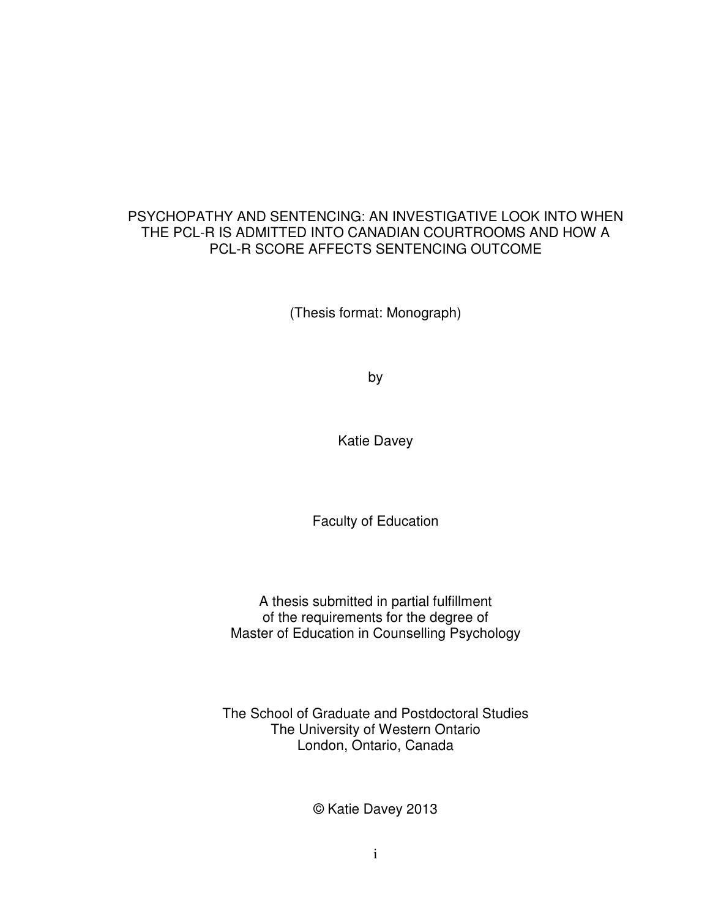#### PSYCHOPATHY AND SENTENCING: AN INVESTIGATIVE LOOK INTO WHEN THE PCL-R IS ADMITTED INTO CANADIAN COURTROOMS AND HOW A PCL-R SCORE AFFECTS SENTENCING OUTCOME

(Thesis format: Monograph)

by

Katie Davey

Faculty of Education

A thesis submitted in partial fulfillment of the requirements for the degree of Master of Education in Counselling Psychology

The School of Graduate and Postdoctoral Studies The University of Western Ontario London, Ontario, Canada

© Katie Davey 2013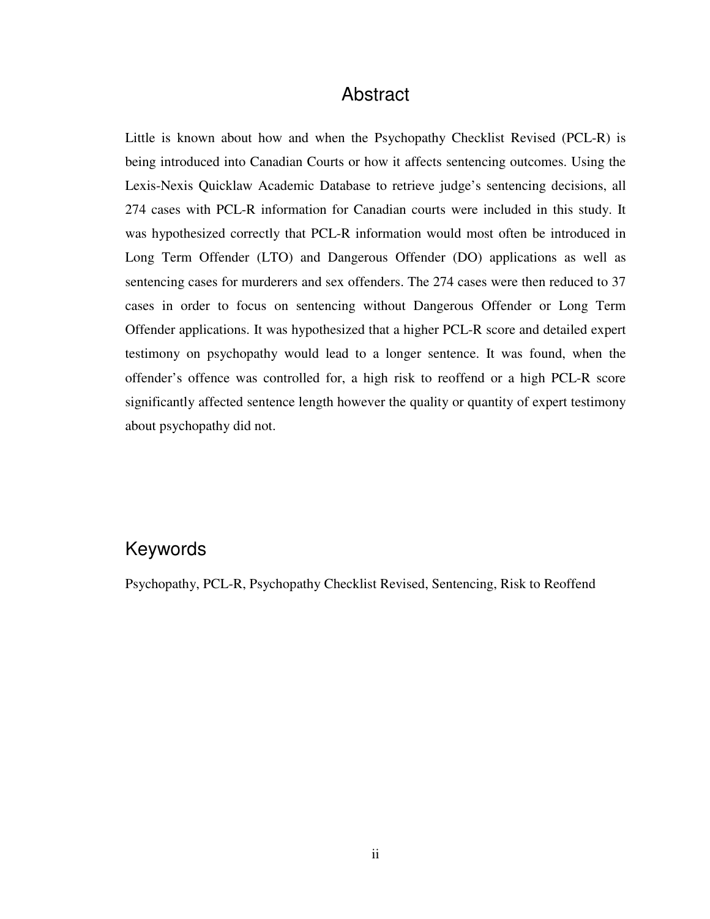#### Abstract

Little is known about how and when the Psychopathy Checklist Revised (PCL-R) is being introduced into Canadian Courts or how it affects sentencing outcomes. Using the Lexis-Nexis Quicklaw Academic Database to retrieve judge's sentencing decisions, all 274 cases with PCL-R information for Canadian courts were included in this study. It was hypothesized correctly that PCL-R information would most often be introduced in Long Term Offender (LTO) and Dangerous Offender (DO) applications as well as sentencing cases for murderers and sex offenders. The 274 cases were then reduced to 37 cases in order to focus on sentencing without Dangerous Offender or Long Term Offender applications. It was hypothesized that a higher PCL-R score and detailed expert testimony on psychopathy would lead to a longer sentence. It was found, when the offender's offence was controlled for, a high risk to reoffend or a high PCL-R score significantly affected sentence length however the quality or quantity of expert testimony about psychopathy did not.

#### Keywords

Psychopathy, PCL-R, Psychopathy Checklist Revised, Sentencing, Risk to Reoffend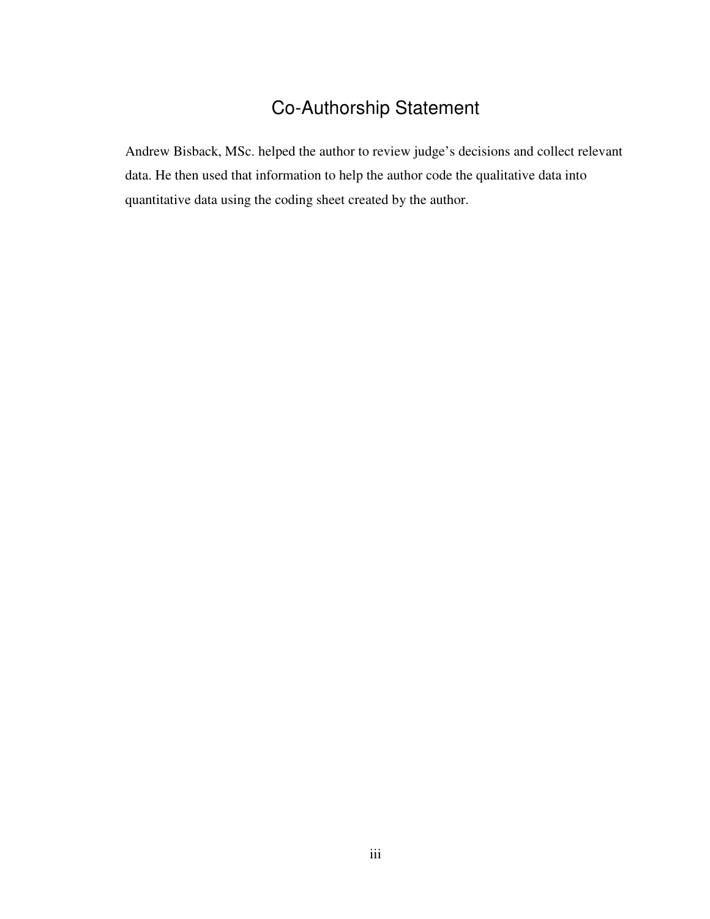# Co-Authorship Statement

Andrew Bisback, MSc. helped the author to review judge's decisions and collect relevant data. He then used that information to help the author code the qualitative data into quantitative data using the coding sheet created by the author.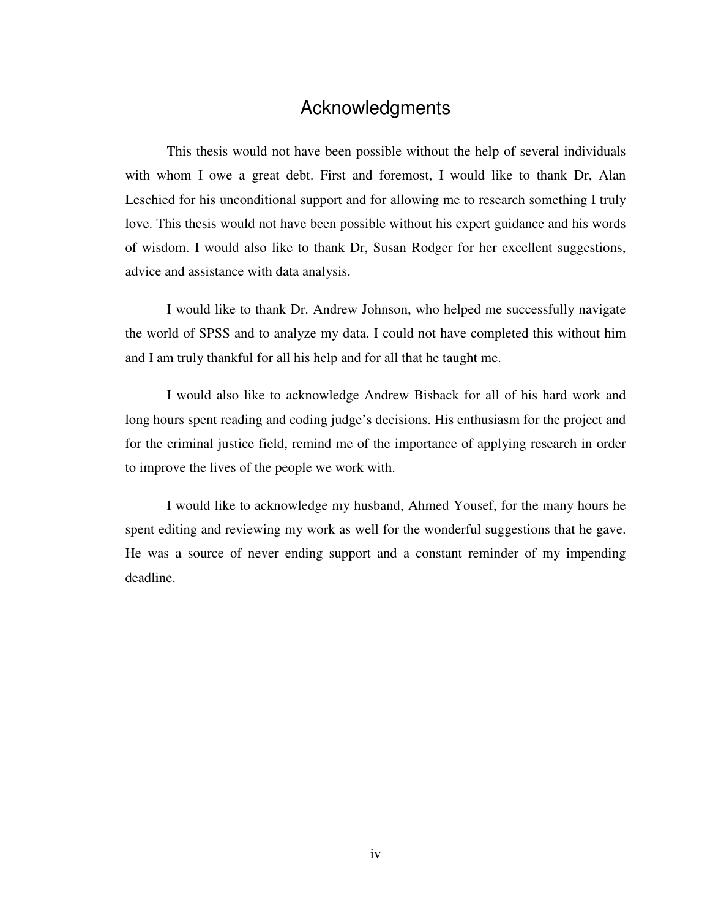#### Acknowledgments

This thesis would not have been possible without the help of several individuals with whom I owe a great debt. First and foremost, I would like to thank Dr, Alan Leschied for his unconditional support and for allowing me to research something I truly love. This thesis would not have been possible without his expert guidance and his words of wisdom. I would also like to thank Dr, Susan Rodger for her excellent suggestions, advice and assistance with data analysis.

I would like to thank Dr. Andrew Johnson, who helped me successfully navigate the world of SPSS and to analyze my data. I could not have completed this without him and I am truly thankful for all his help and for all that he taught me.

I would also like to acknowledge Andrew Bisback for all of his hard work and long hours spent reading and coding judge's decisions. His enthusiasm for the project and for the criminal justice field, remind me of the importance of applying research in order to improve the lives of the people we work with.

I would like to acknowledge my husband, Ahmed Yousef, for the many hours he spent editing and reviewing my work as well for the wonderful suggestions that he gave. He was a source of never ending support and a constant reminder of my impending deadline.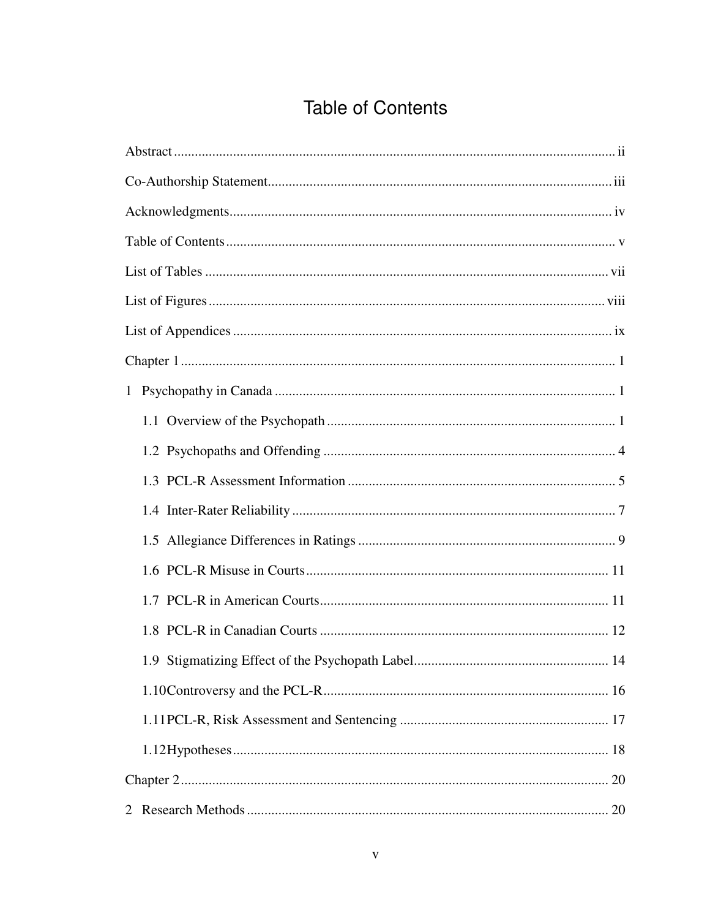# **Table of Contents**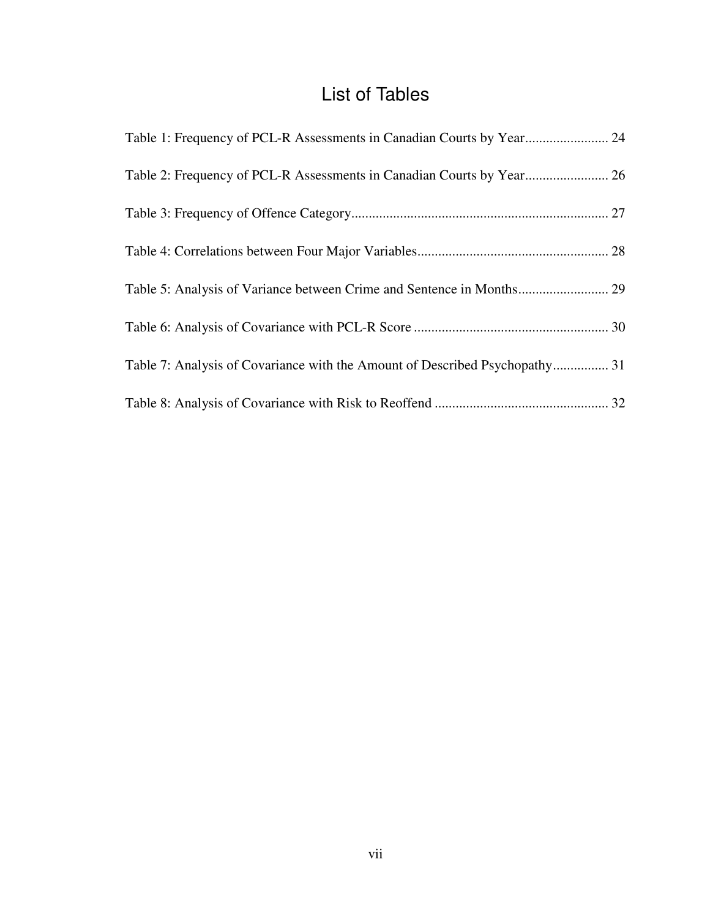## List of Tables

| Table 1: Frequency of PCL-R Assessments in Canadian Courts by Year 24       |  |
|-----------------------------------------------------------------------------|--|
| Table 2: Frequency of PCL-R Assessments in Canadian Courts by Year 26       |  |
|                                                                             |  |
|                                                                             |  |
| Table 5: Analysis of Variance between Crime and Sentence in Months 29       |  |
|                                                                             |  |
| Table 7: Analysis of Covariance with the Amount of Described Psychopathy 31 |  |
|                                                                             |  |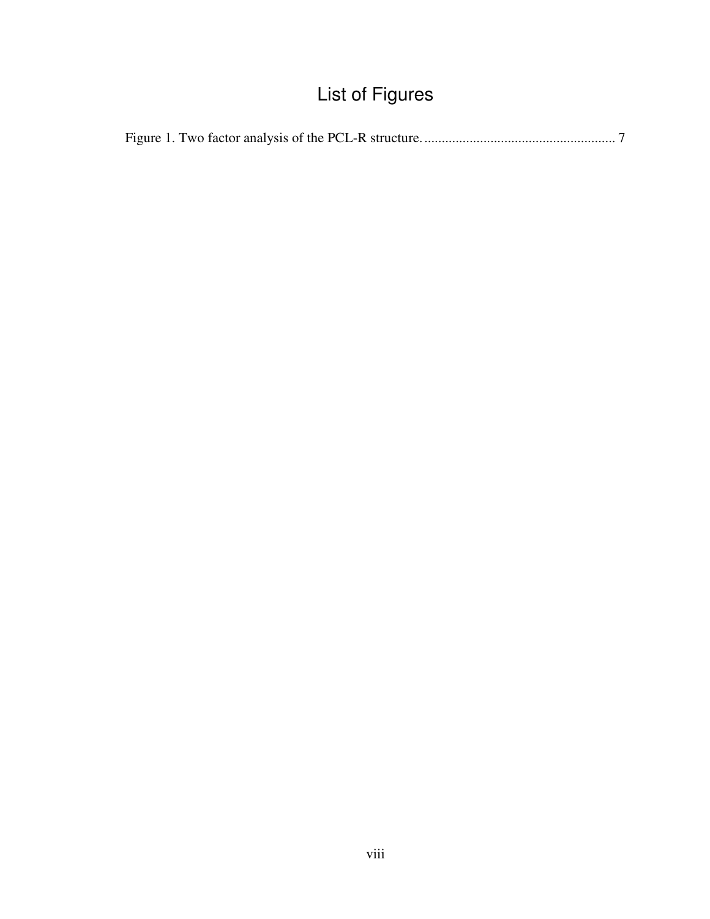# List of Figures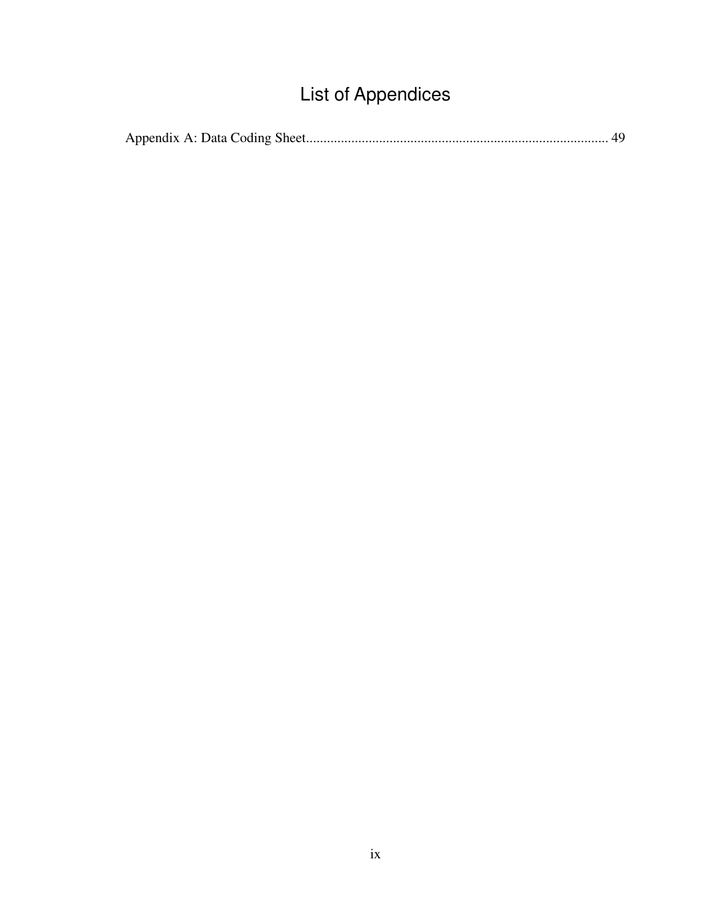# List of Appendices

|--|--|--|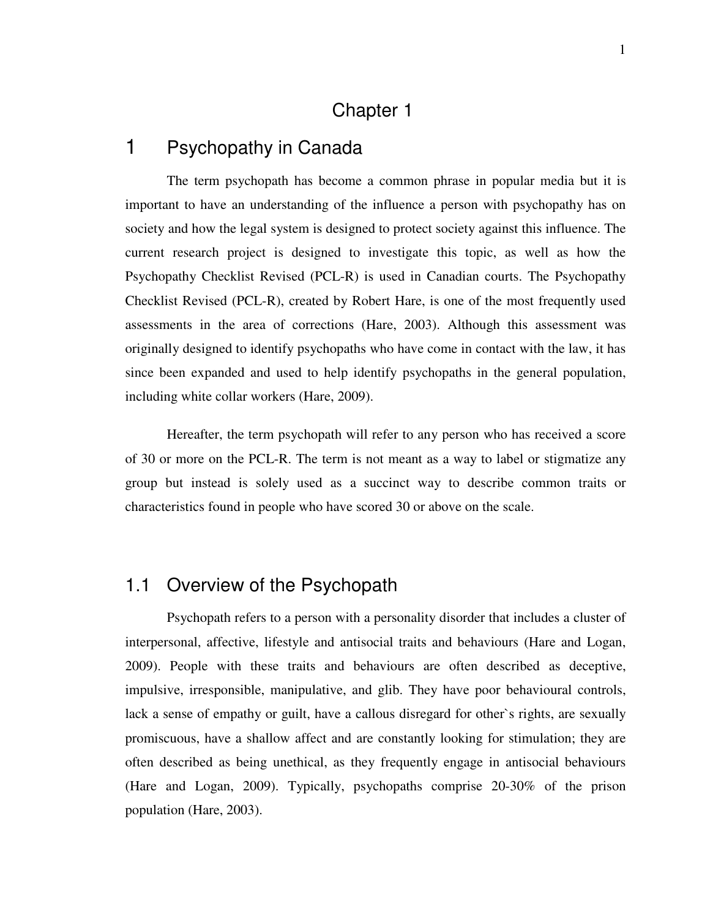### Chapter 1

#### 1 Psychopathy in Canada

The term psychopath has become a common phrase in popular media but it is important to have an understanding of the influence a person with psychopathy has on society and how the legal system is designed to protect society against this influence. The current research project is designed to investigate this topic, as well as how the Psychopathy Checklist Revised (PCL-R) is used in Canadian courts. The Psychopathy Checklist Revised (PCL-R), created by Robert Hare, is one of the most frequently used assessments in the area of corrections (Hare, 2003). Although this assessment was originally designed to identify psychopaths who have come in contact with the law, it has since been expanded and used to help identify psychopaths in the general population, including white collar workers (Hare, 2009).

Hereafter, the term psychopath will refer to any person who has received a score of 30 or more on the PCL-R. The term is not meant as a way to label or stigmatize any group but instead is solely used as a succinct way to describe common traits or characteristics found in people who have scored 30 or above on the scale.

#### 1.1 Overview of the Psychopath

Psychopath refers to a person with a personality disorder that includes a cluster of interpersonal, affective, lifestyle and antisocial traits and behaviours (Hare and Logan, 2009). People with these traits and behaviours are often described as deceptive, impulsive, irresponsible, manipulative, and glib. They have poor behavioural controls, lack a sense of empathy or guilt, have a callous disregard for other`s rights, are sexually promiscuous, have a shallow affect and are constantly looking for stimulation; they are often described as being unethical, as they frequently engage in antisocial behaviours (Hare and Logan, 2009). Typically, psychopaths comprise 20-30% of the prison population (Hare, 2003).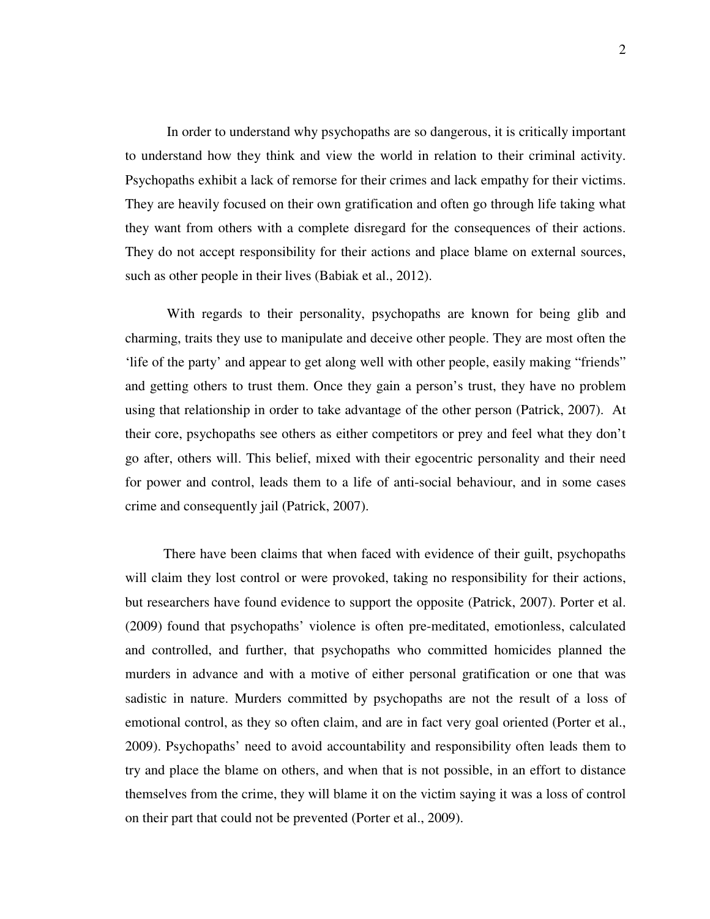In order to understand why psychopaths are so dangerous, it is critically important to understand how they think and view the world in relation to their criminal activity. Psychopaths exhibit a lack of remorse for their crimes and lack empathy for their victims. They are heavily focused on their own gratification and often go through life taking what they want from others with a complete disregard for the consequences of their actions. They do not accept responsibility for their actions and place blame on external sources, such as other people in their lives (Babiak et al., 2012).

With regards to their personality, psychopaths are known for being glib and charming, traits they use to manipulate and deceive other people. They are most often the 'life of the party' and appear to get along well with other people, easily making "friends" and getting others to trust them. Once they gain a person's trust, they have no problem using that relationship in order to take advantage of the other person (Patrick, 2007). At their core, psychopaths see others as either competitors or prey and feel what they don't go after, others will. This belief, mixed with their egocentric personality and their need for power and control, leads them to a life of anti-social behaviour, and in some cases crime and consequently jail (Patrick, 2007).

 There have been claims that when faced with evidence of their guilt, psychopaths will claim they lost control or were provoked, taking no responsibility for their actions, but researchers have found evidence to support the opposite (Patrick, 2007). Porter et al. (2009) found that psychopaths' violence is often pre-meditated, emotionless, calculated and controlled, and further, that psychopaths who committed homicides planned the murders in advance and with a motive of either personal gratification or one that was sadistic in nature. Murders committed by psychopaths are not the result of a loss of emotional control, as they so often claim, and are in fact very goal oriented (Porter et al., 2009). Psychopaths' need to avoid accountability and responsibility often leads them to try and place the blame on others, and when that is not possible, in an effort to distance themselves from the crime, they will blame it on the victim saying it was a loss of control on their part that could not be prevented (Porter et al., 2009).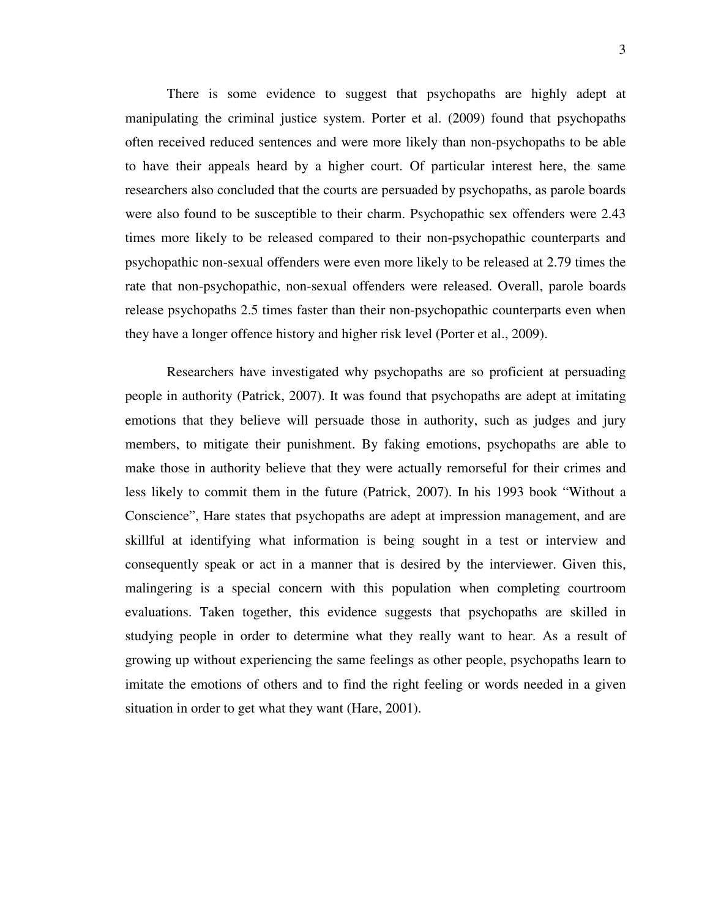There is some evidence to suggest that psychopaths are highly adept at manipulating the criminal justice system. Porter et al. (2009) found that psychopaths often received reduced sentences and were more likely than non-psychopaths to be able to have their appeals heard by a higher court. Of particular interest here, the same researchers also concluded that the courts are persuaded by psychopaths, as parole boards were also found to be susceptible to their charm. Psychopathic sex offenders were 2.43 times more likely to be released compared to their non-psychopathic counterparts and psychopathic non-sexual offenders were even more likely to be released at 2.79 times the rate that non-psychopathic, non-sexual offenders were released. Overall, parole boards release psychopaths 2.5 times faster than their non-psychopathic counterparts even when they have a longer offence history and higher risk level (Porter et al., 2009).

Researchers have investigated why psychopaths are so proficient at persuading people in authority (Patrick, 2007). It was found that psychopaths are adept at imitating emotions that they believe will persuade those in authority, such as judges and jury members, to mitigate their punishment. By faking emotions, psychopaths are able to make those in authority believe that they were actually remorseful for their crimes and less likely to commit them in the future (Patrick, 2007). In his 1993 book "Without a Conscience", Hare states that psychopaths are adept at impression management, and are skillful at identifying what information is being sought in a test or interview and consequently speak or act in a manner that is desired by the interviewer. Given this, malingering is a special concern with this population when completing courtroom evaluations. Taken together, this evidence suggests that psychopaths are skilled in studying people in order to determine what they really want to hear. As a result of growing up without experiencing the same feelings as other people, psychopaths learn to imitate the emotions of others and to find the right feeling or words needed in a given situation in order to get what they want (Hare, 2001).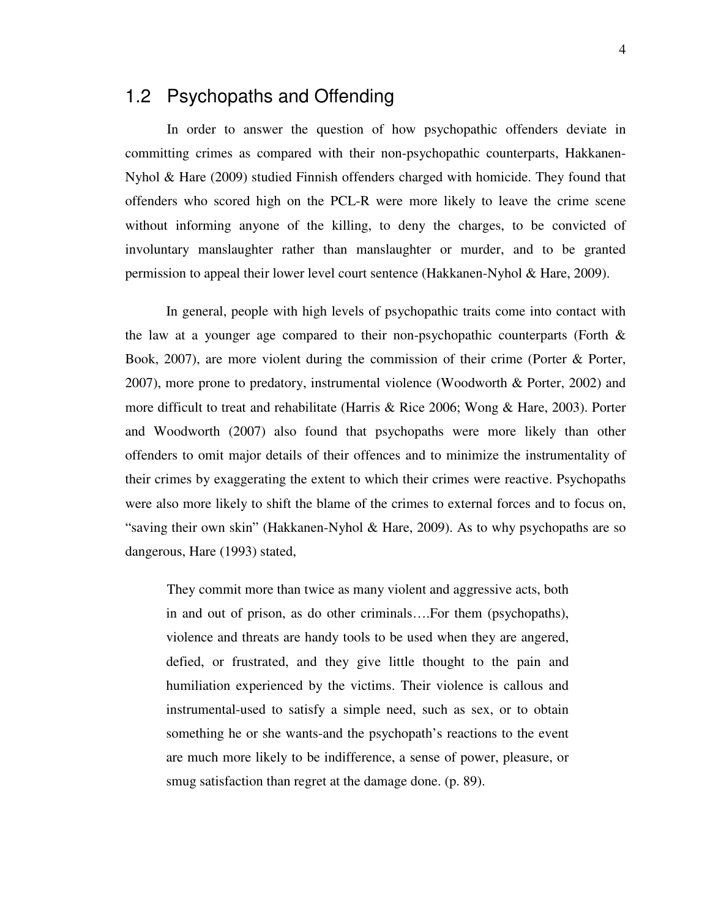#### 1.2 Psychopaths and Offending

In order to answer the question of how psychopathic offenders deviate in committing crimes as compared with their non-psychopathic counterparts, Hakkanen-Nyhol & Hare (2009) studied Finnish offenders charged with homicide. They found that offenders who scored high on the PCL-R were more likely to leave the crime scene without informing anyone of the killing, to deny the charges, to be convicted of involuntary manslaughter rather than manslaughter or murder, and to be granted permission to appeal their lower level court sentence (Hakkanen-Nyhol & Hare, 2009).

In general, people with high levels of psychopathic traits come into contact with the law at a younger age compared to their non-psychopathic counterparts (Forth  $\&$ Book, 2007), are more violent during the commission of their crime (Porter & Porter, 2007), more prone to predatory, instrumental violence (Woodworth & Porter, 2002) and more difficult to treat and rehabilitate (Harris & Rice 2006; Wong & Hare, 2003). Porter and Woodworth (2007) also found that psychopaths were more likely than other offenders to omit major details of their offences and to minimize the instrumentality of their crimes by exaggerating the extent to which their crimes were reactive. Psychopaths were also more likely to shift the blame of the crimes to external forces and to focus on, "saving their own skin" (Hakkanen-Nyhol & Hare, 2009). As to why psychopaths are so dangerous, Hare (1993) stated,

They commit more than twice as many violent and aggressive acts, both in and out of prison, as do other criminals….For them (psychopaths), violence and threats are handy tools to be used when they are angered, defied, or frustrated, and they give little thought to the pain and humiliation experienced by the victims. Their violence is callous and instrumental-used to satisfy a simple need, such as sex, or to obtain something he or she wants-and the psychopath's reactions to the event are much more likely to be indifference, a sense of power, pleasure, or smug satisfaction than regret at the damage done. (p. 89).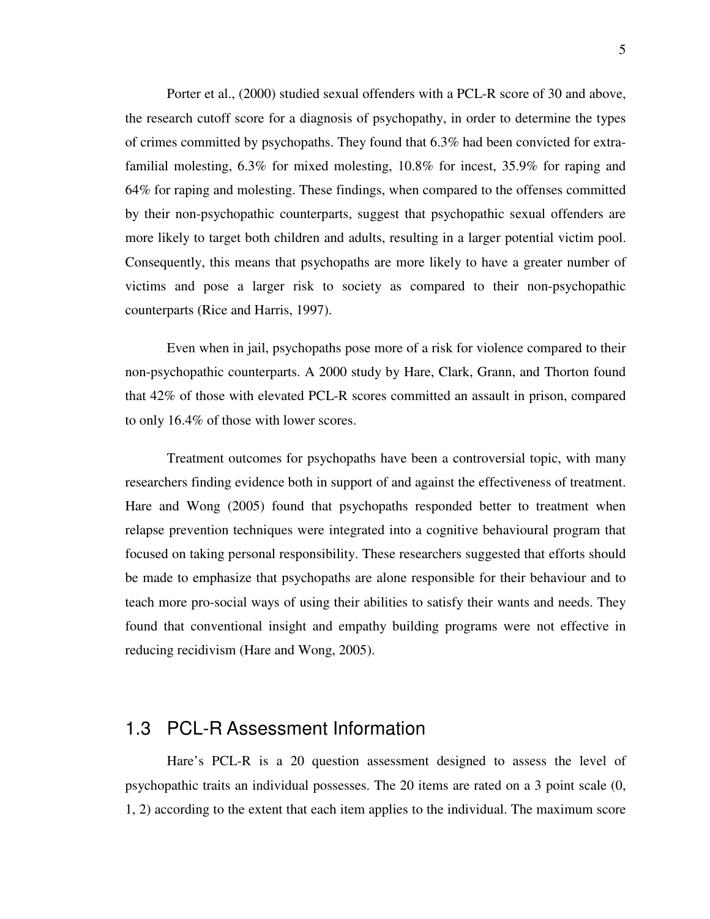Porter et al., (2000) studied sexual offenders with a PCL-R score of 30 and above, the research cutoff score for a diagnosis of psychopathy, in order to determine the types of crimes committed by psychopaths. They found that 6.3% had been convicted for extrafamilial molesting, 6.3% for mixed molesting, 10.8% for incest, 35.9% for raping and 64% for raping and molesting. These findings, when compared to the offenses committed by their non-psychopathic counterparts, suggest that psychopathic sexual offenders are more likely to target both children and adults, resulting in a larger potential victim pool. Consequently, this means that psychopaths are more likely to have a greater number of victims and pose a larger risk to society as compared to their non-psychopathic counterparts (Rice and Harris, 1997).

Even when in jail, psychopaths pose more of a risk for violence compared to their non-psychopathic counterparts. A 2000 study by Hare, Clark, Grann, and Thorton found that 42% of those with elevated PCL-R scores committed an assault in prison, compared to only 16.4% of those with lower scores.

Treatment outcomes for psychopaths have been a controversial topic, with many researchers finding evidence both in support of and against the effectiveness of treatment. Hare and Wong (2005) found that psychopaths responded better to treatment when relapse prevention techniques were integrated into a cognitive behavioural program that focused on taking personal responsibility. These researchers suggested that efforts should be made to emphasize that psychopaths are alone responsible for their behaviour and to teach more pro-social ways of using their abilities to satisfy their wants and needs. They found that conventional insight and empathy building programs were not effective in reducing recidivism (Hare and Wong, 2005).

#### 1.3 PCL-R Assessment Information

Hare's PCL-R is a 20 question assessment designed to assess the level of psychopathic traits an individual possesses. The 20 items are rated on a 3 point scale (0, 1, 2) according to the extent that each item applies to the individual. The maximum score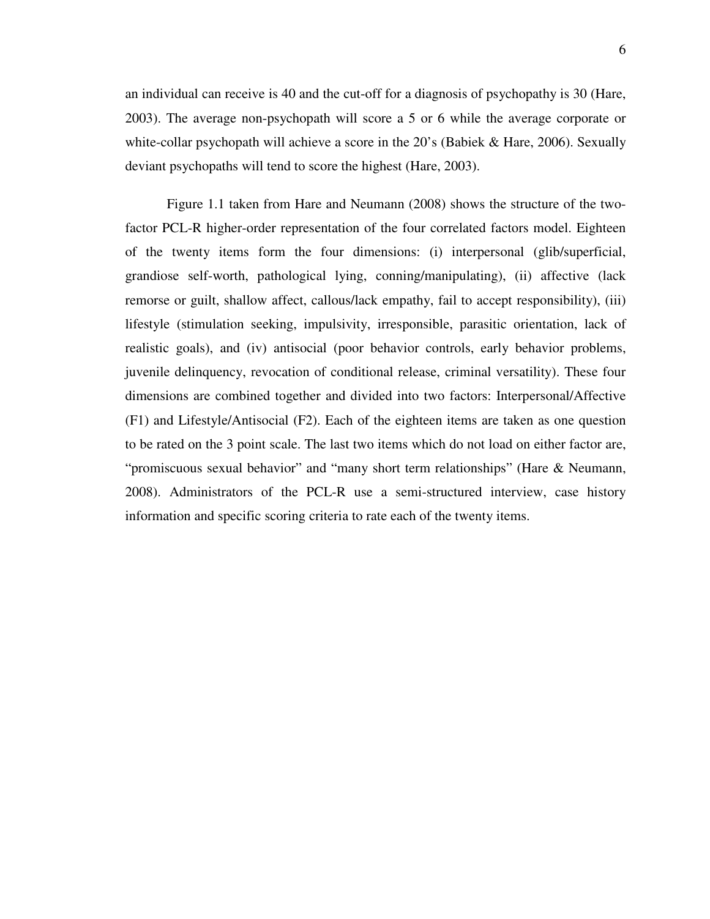an individual can receive is 40 and the cut-off for a diagnosis of psychopathy is 30 (Hare, 2003). The average non-psychopath will score a 5 or 6 while the average corporate or white-collar psychopath will achieve a score in the 20's (Babiek & Hare, 2006). Sexually deviant psychopaths will tend to score the highest (Hare, 2003).

Figure 1.1 taken from Hare and Neumann (2008) shows the structure of the twofactor PCL-R higher-order representation of the four correlated factors model. Eighteen of the twenty items form the four dimensions: (i) interpersonal (glib/superficial, grandiose self-worth, pathological lying, conning/manipulating), (ii) affective (lack remorse or guilt, shallow affect, callous/lack empathy, fail to accept responsibility), (iii) lifestyle (stimulation seeking, impulsivity, irresponsible, parasitic orientation, lack of realistic goals), and (iv) antisocial (poor behavior controls, early behavior problems, juvenile delinquency, revocation of conditional release, criminal versatility). These four dimensions are combined together and divided into two factors: Interpersonal/Affective (F1) and Lifestyle/Antisocial (F2). Each of the eighteen items are taken as one question to be rated on the 3 point scale. The last two items which do not load on either factor are, "promiscuous sexual behavior" and "many short term relationships" (Hare & Neumann, 2008). Administrators of the PCL-R use a semi-structured interview, case history information and specific scoring criteria to rate each of the twenty items.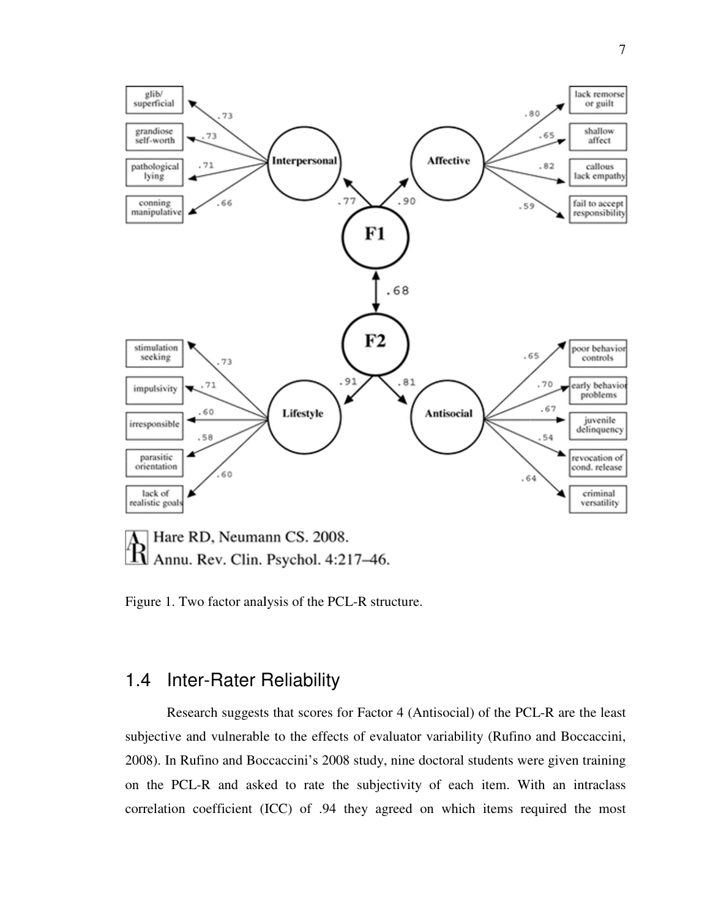

Figure 1. Two factor analysis of the PCL-R structure.

#### 1.4 Inter-Rater Reliability Rater Reliability

Research suggests that scores for Factor 4 (Antisocial) of the PCL-R are the least subjective and vulnerable to the effects of evaluator variability (Rufino and Boccaccini, 2008). In Rufino and Boccaccini's 2008 study, nine doctoral students were given tra on the PCL-R and asked to rate the subjectivity of each item. With an intraclass correlation coefficient (ICC) of .94 they agreed on which items required the example to the effects of evaluator variability (Rufino and Boccaccini, Rufino and Boccaccini's 2008 study, nine doctoral students were given training CL-R and asked to rate the subjectivity of each item. With an intraclas training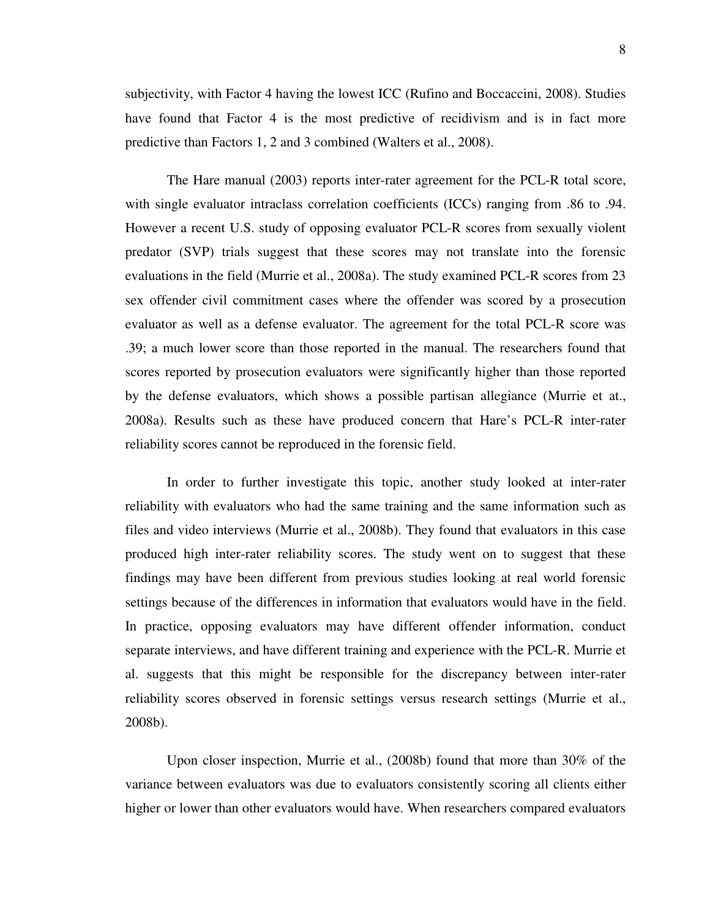subjectivity, with Factor 4 having the lowest ICC (Rufino and Boccaccini, 2008). Studies have found that Factor 4 is the most predictive of recidivism and is in fact more predictive than Factors 1, 2 and 3 combined (Walters et al., 2008).

The Hare manual (2003) reports inter-rater agreement for the PCL-R total score, with single evaluator intraclass correlation coefficients (ICCs) ranging from .86 to .94. However a recent U.S. study of opposing evaluator PCL-R scores from sexually violent predator (SVP) trials suggest that these scores may not translate into the forensic evaluations in the field (Murrie et al., 2008a). The study examined PCL-R scores from 23 sex offender civil commitment cases where the offender was scored by a prosecution evaluator as well as a defense evaluator. The agreement for the total PCL-R score was .39; a much lower score than those reported in the manual. The researchers found that scores reported by prosecution evaluators were significantly higher than those reported by the defense evaluators, which shows a possible partisan allegiance (Murrie et at., 2008a). Results such as these have produced concern that Hare's PCL-R inter-rater reliability scores cannot be reproduced in the forensic field.

In order to further investigate this topic, another study looked at inter-rater reliability with evaluators who had the same training and the same information such as files and video interviews (Murrie et al., 2008b). They found that evaluators in this case produced high inter-rater reliability scores. The study went on to suggest that these findings may have been different from previous studies looking at real world forensic settings because of the differences in information that evaluators would have in the field. In practice, opposing evaluators may have different offender information, conduct separate interviews, and have different training and experience with the PCL-R. Murrie et al. suggests that this might be responsible for the discrepancy between inter-rater reliability scores observed in forensic settings versus research settings (Murrie et al., 2008b).

Upon closer inspection, Murrie et al., (2008b) found that more than 30% of the variance between evaluators was due to evaluators consistently scoring all clients either higher or lower than other evaluators would have. When researchers compared evaluators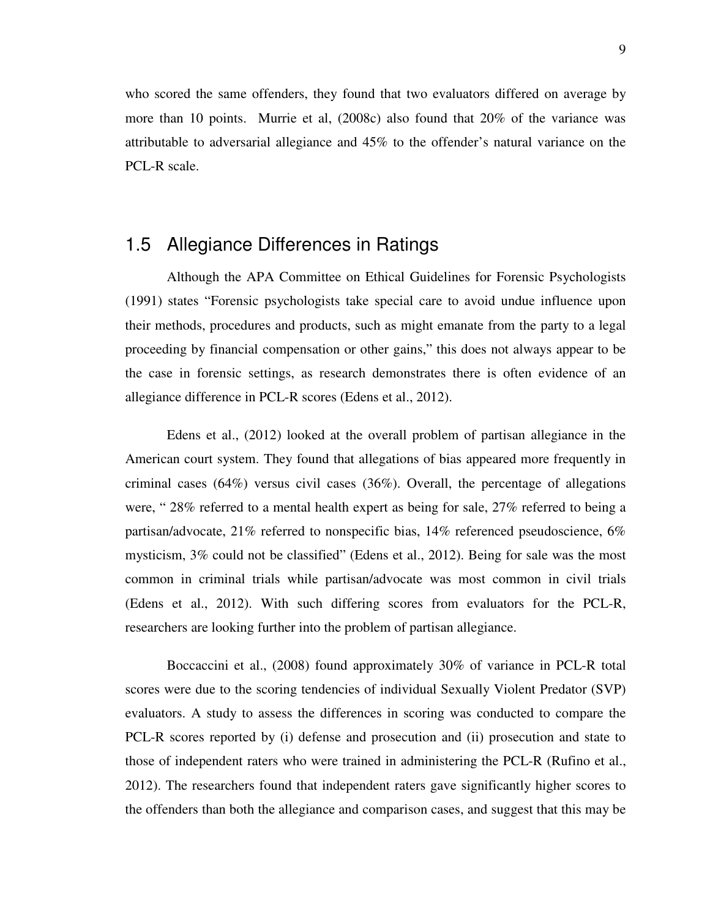who scored the same offenders, they found that two evaluators differed on average by more than 10 points. Murrie et al, (2008c) also found that 20% of the variance was attributable to adversarial allegiance and 45% to the offender's natural variance on the PCL-R scale.

#### 1.5 Allegiance Differences in Ratings

Although the APA Committee on Ethical Guidelines for Forensic Psychologists (1991) states "Forensic psychologists take special care to avoid undue influence upon their methods, procedures and products, such as might emanate from the party to a legal proceeding by financial compensation or other gains," this does not always appear to be the case in forensic settings, as research demonstrates there is often evidence of an allegiance difference in PCL-R scores (Edens et al., 2012).

Edens et al., (2012) looked at the overall problem of partisan allegiance in the American court system. They found that allegations of bias appeared more frequently in criminal cases  $(64%)$  versus civil cases  $(36%)$ . Overall, the percentage of allegations were, " 28% referred to a mental health expert as being for sale, 27% referred to being a partisan/advocate, 21% referred to nonspecific bias, 14% referenced pseudoscience, 6% mysticism, 3% could not be classified" (Edens et al., 2012). Being for sale was the most common in criminal trials while partisan/advocate was most common in civil trials (Edens et al., 2012). With such differing scores from evaluators for the PCL-R, researchers are looking further into the problem of partisan allegiance.

Boccaccini et al., (2008) found approximately 30% of variance in PCL-R total scores were due to the scoring tendencies of individual Sexually Violent Predator (SVP) evaluators. A study to assess the differences in scoring was conducted to compare the PCL-R scores reported by (i) defense and prosecution and (ii) prosecution and state to those of independent raters who were trained in administering the PCL-R (Rufino et al., 2012). The researchers found that independent raters gave significantly higher scores to the offenders than both the allegiance and comparison cases, and suggest that this may be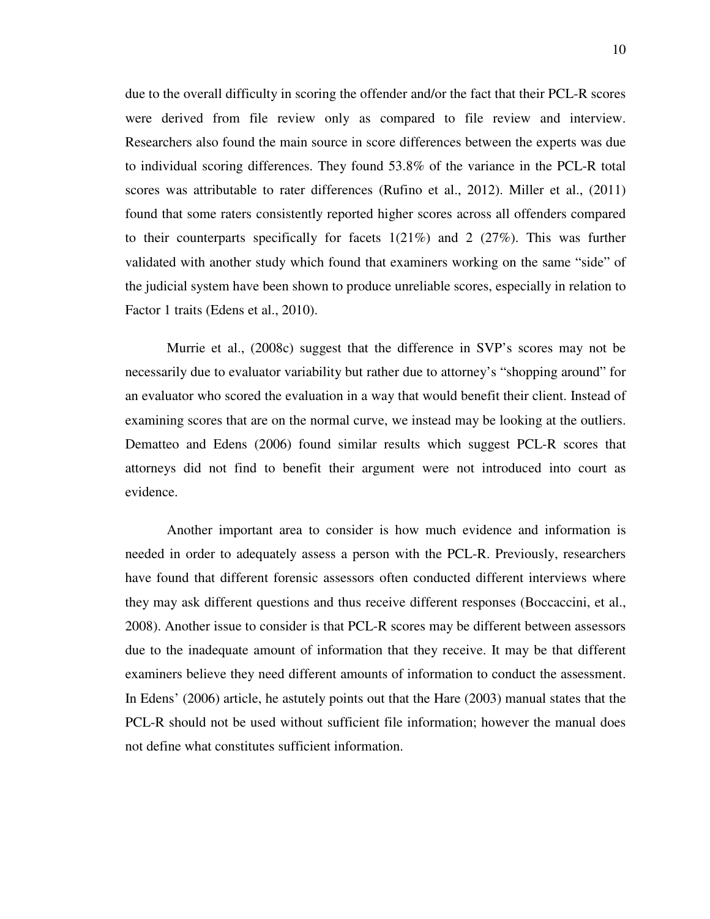due to the overall difficulty in scoring the offender and/or the fact that their PCL-R scores were derived from file review only as compared to file review and interview. Researchers also found the main source in score differences between the experts was due to individual scoring differences. They found 53.8% of the variance in the PCL-R total scores was attributable to rater differences (Rufino et al., 2012). Miller et al., (2011) found that some raters consistently reported higher scores across all offenders compared to their counterparts specifically for facets  $1(21\%)$  and  $2(27\%)$ . This was further validated with another study which found that examiners working on the same "side" of the judicial system have been shown to produce unreliable scores, especially in relation to Factor 1 traits (Edens et al., 2010).

Murrie et al., (2008c) suggest that the difference in SVP's scores may not be necessarily due to evaluator variability but rather due to attorney's "shopping around" for an evaluator who scored the evaluation in a way that would benefit their client. Instead of examining scores that are on the normal curve, we instead may be looking at the outliers. Dematteo and Edens (2006) found similar results which suggest PCL-R scores that attorneys did not find to benefit their argument were not introduced into court as evidence.

Another important area to consider is how much evidence and information is needed in order to adequately assess a person with the PCL-R. Previously, researchers have found that different forensic assessors often conducted different interviews where they may ask different questions and thus receive different responses (Boccaccini, et al., 2008). Another issue to consider is that PCL-R scores may be different between assessors due to the inadequate amount of information that they receive. It may be that different examiners believe they need different amounts of information to conduct the assessment. In Edens' (2006) article, he astutely points out that the Hare (2003) manual states that the PCL-R should not be used without sufficient file information; however the manual does not define what constitutes sufficient information.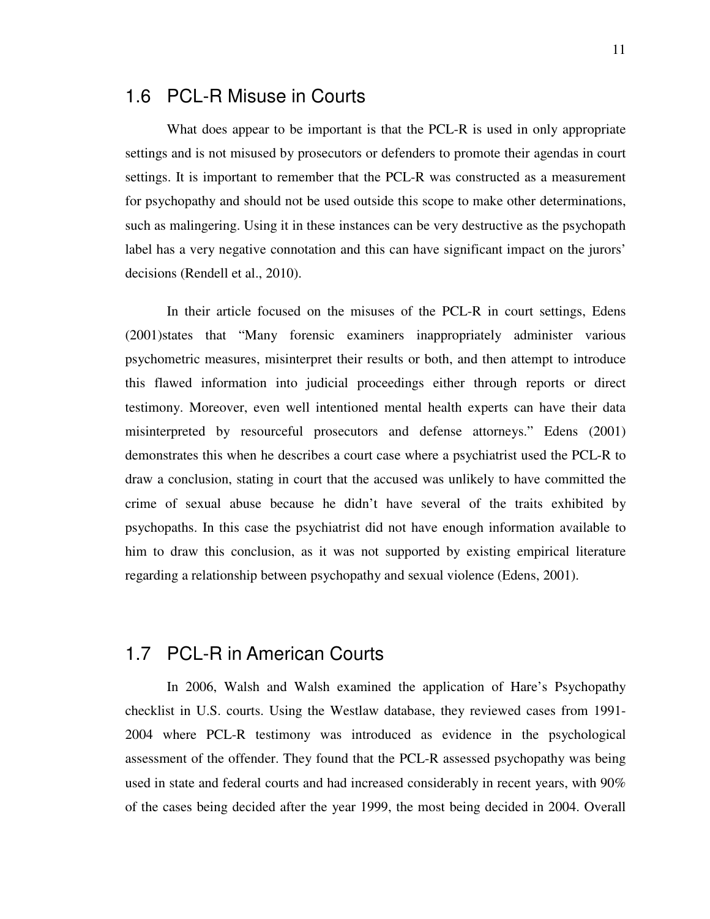#### 1.6 PCL-R Misuse in Courts

What does appear to be important is that the PCL-R is used in only appropriate settings and is not misused by prosecutors or defenders to promote their agendas in court settings. It is important to remember that the PCL-R was constructed as a measurement for psychopathy and should not be used outside this scope to make other determinations, such as malingering. Using it in these instances can be very destructive as the psychopath label has a very negative connotation and this can have significant impact on the jurors' decisions (Rendell et al., 2010).

In their article focused on the misuses of the PCL-R in court settings, Edens (2001)states that "Many forensic examiners inappropriately administer various psychometric measures, misinterpret their results or both, and then attempt to introduce this flawed information into judicial proceedings either through reports or direct testimony. Moreover, even well intentioned mental health experts can have their data misinterpreted by resourceful prosecutors and defense attorneys." Edens (2001) demonstrates this when he describes a court case where a psychiatrist used the PCL-R to draw a conclusion, stating in court that the accused was unlikely to have committed the crime of sexual abuse because he didn't have several of the traits exhibited by psychopaths. In this case the psychiatrist did not have enough information available to him to draw this conclusion, as it was not supported by existing empirical literature regarding a relationship between psychopathy and sexual violence (Edens, 2001).

#### 1.7 PCL-R in American Courts

In 2006, Walsh and Walsh examined the application of Hare's Psychopathy checklist in U.S. courts. Using the Westlaw database, they reviewed cases from 1991- 2004 where PCL-R testimony was introduced as evidence in the psychological assessment of the offender. They found that the PCL-R assessed psychopathy was being used in state and federal courts and had increased considerably in recent years, with 90% of the cases being decided after the year 1999, the most being decided in 2004. Overall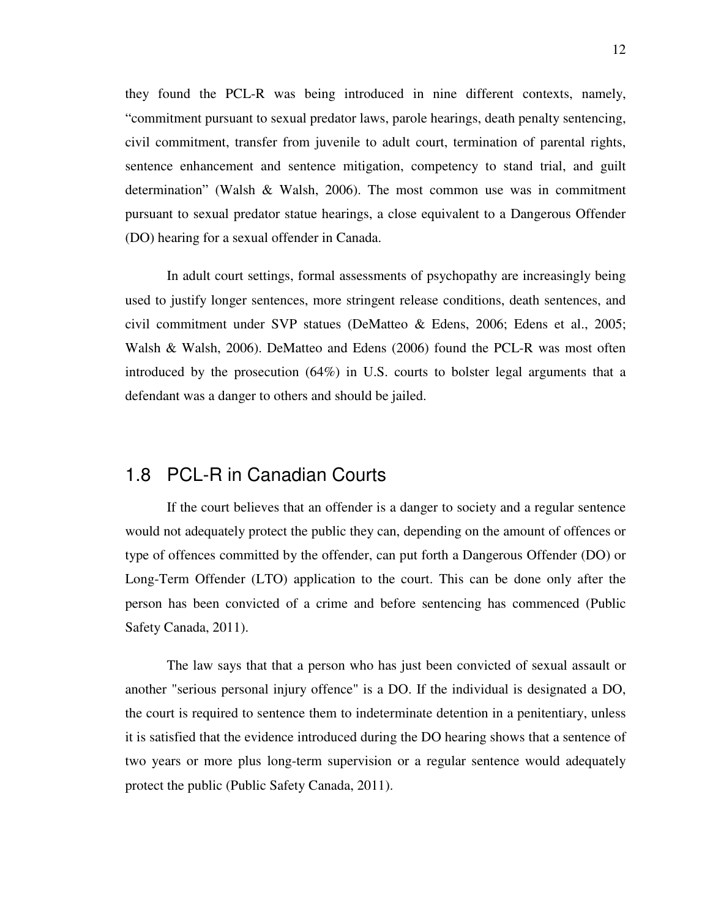they found the PCL-R was being introduced in nine different contexts, namely, "commitment pursuant to sexual predator laws, parole hearings, death penalty sentencing, civil commitment, transfer from juvenile to adult court, termination of parental rights, sentence enhancement and sentence mitigation, competency to stand trial, and guilt determination" (Walsh & Walsh, 2006). The most common use was in commitment pursuant to sexual predator statue hearings, a close equivalent to a Dangerous Offender (DO) hearing for a sexual offender in Canada.

In adult court settings, formal assessments of psychopathy are increasingly being used to justify longer sentences, more stringent release conditions, death sentences, and civil commitment under SVP statues (DeMatteo & Edens, 2006; Edens et al., 2005; Walsh & Walsh, 2006). DeMatteo and Edens (2006) found the PCL-R was most often introduced by the prosecution (64%) in U.S. courts to bolster legal arguments that a defendant was a danger to others and should be jailed.

#### 1.8 PCL-R in Canadian Courts

If the court believes that an offender is a danger to society and a regular sentence would not adequately protect the public they can, depending on the amount of offences or type of offences committed by the offender, can put forth a Dangerous Offender (DO) or Long-Term Offender (LTO) application to the court. This can be done only after the person has been convicted of a crime and before sentencing has commenced (Public Safety Canada, 2011).

The law says that that a person who has just been convicted of sexual assault or another "serious personal injury offence" is a DO. If the individual is designated a DO, the court is required to sentence them to indeterminate detention in a penitentiary, unless it is satisfied that the evidence introduced during the DO hearing shows that a sentence of two years or more plus long-term supervision or a regular sentence would adequately protect the public (Public Safety Canada, 2011).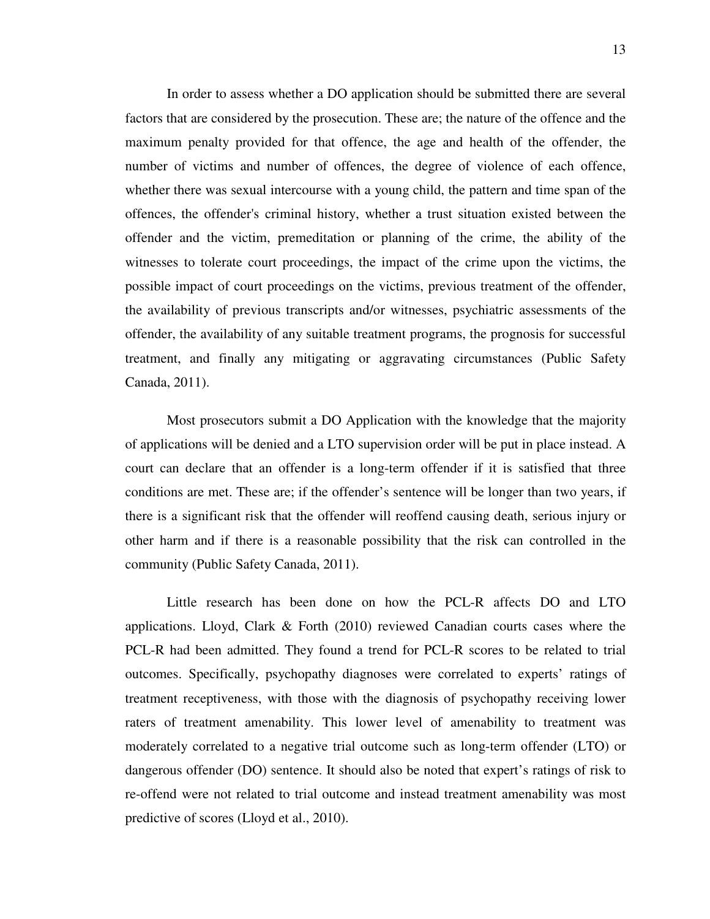In order to assess whether a DO application should be submitted there are several factors that are considered by the prosecution. These are; the nature of the offence and the maximum penalty provided for that offence, the age and health of the offender, the number of victims and number of offences, the degree of violence of each offence, whether there was sexual intercourse with a young child, the pattern and time span of the offences, the offender's criminal history, whether a trust situation existed between the offender and the victim, premeditation or planning of the crime, the ability of the witnesses to tolerate court proceedings, the impact of the crime upon the victims, the possible impact of court proceedings on the victims, previous treatment of the offender, the availability of previous transcripts and/or witnesses, psychiatric assessments of the offender, the availability of any suitable treatment programs, the prognosis for successful treatment, and finally any mitigating or aggravating circumstances (Public Safety Canada, 2011).

Most prosecutors submit a DO Application with the knowledge that the majority of applications will be denied and a LTO supervision order will be put in place instead. A court can declare that an offender is a long-term offender if it is satisfied that three conditions are met. These are; if the offender's sentence will be longer than two years, if there is a significant risk that the offender will reoffend causing death, serious injury or other harm and if there is a reasonable possibility that the risk can controlled in the community (Public Safety Canada, 2011).

Little research has been done on how the PCL-R affects DO and LTO applications. Lloyd, Clark  $\&$  Forth (2010) reviewed Canadian courts cases where the PCL-R had been admitted. They found a trend for PCL-R scores to be related to trial outcomes. Specifically, psychopathy diagnoses were correlated to experts' ratings of treatment receptiveness, with those with the diagnosis of psychopathy receiving lower raters of treatment amenability. This lower level of amenability to treatment was moderately correlated to a negative trial outcome such as long-term offender (LTO) or dangerous offender (DO) sentence. It should also be noted that expert's ratings of risk to re-offend were not related to trial outcome and instead treatment amenability was most predictive of scores (Lloyd et al., 2010).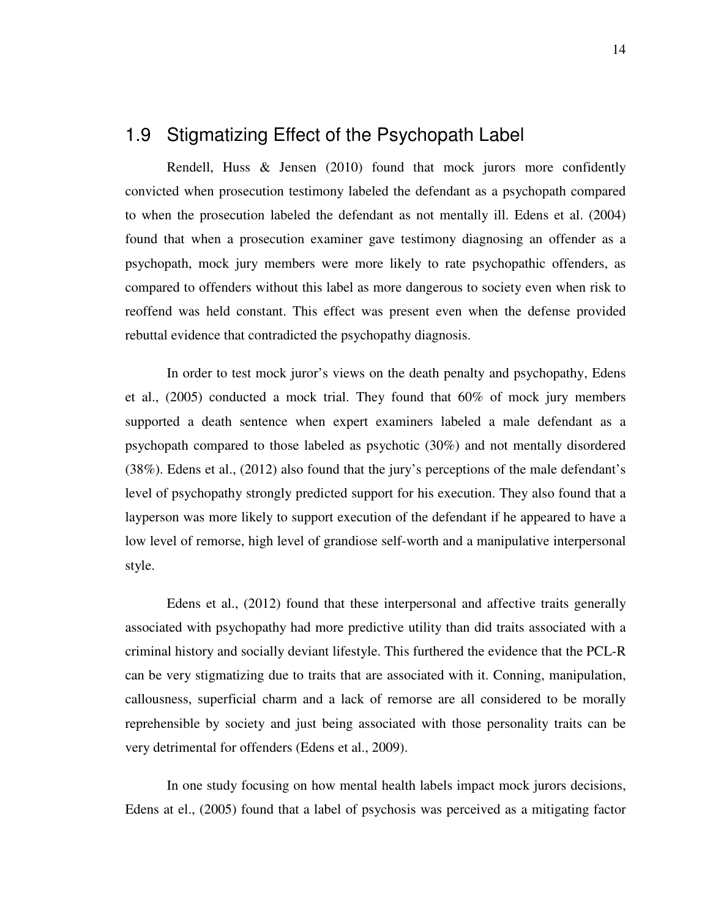#### 1.9 Stigmatizing Effect of the Psychopath Label

Rendell, Huss & Jensen (2010) found that mock jurors more confidently convicted when prosecution testimony labeled the defendant as a psychopath compared to when the prosecution labeled the defendant as not mentally ill. Edens et al. (2004) found that when a prosecution examiner gave testimony diagnosing an offender as a psychopath, mock jury members were more likely to rate psychopathic offenders, as compared to offenders without this label as more dangerous to society even when risk to reoffend was held constant. This effect was present even when the defense provided rebuttal evidence that contradicted the psychopathy diagnosis.

In order to test mock juror's views on the death penalty and psychopathy, Edens et al., (2005) conducted a mock trial. They found that 60% of mock jury members supported a death sentence when expert examiners labeled a male defendant as a psychopath compared to those labeled as psychotic (30%) and not mentally disordered (38%). Edens et al., (2012) also found that the jury's perceptions of the male defendant's level of psychopathy strongly predicted support for his execution. They also found that a layperson was more likely to support execution of the defendant if he appeared to have a low level of remorse, high level of grandiose self-worth and a manipulative interpersonal style.

Edens et al., (2012) found that these interpersonal and affective traits generally associated with psychopathy had more predictive utility than did traits associated with a criminal history and socially deviant lifestyle. This furthered the evidence that the PCL-R can be very stigmatizing due to traits that are associated with it. Conning, manipulation, callousness, superficial charm and a lack of remorse are all considered to be morally reprehensible by society and just being associated with those personality traits can be very detrimental for offenders (Edens et al., 2009).

In one study focusing on how mental health labels impact mock jurors decisions, Edens at el., (2005) found that a label of psychosis was perceived as a mitigating factor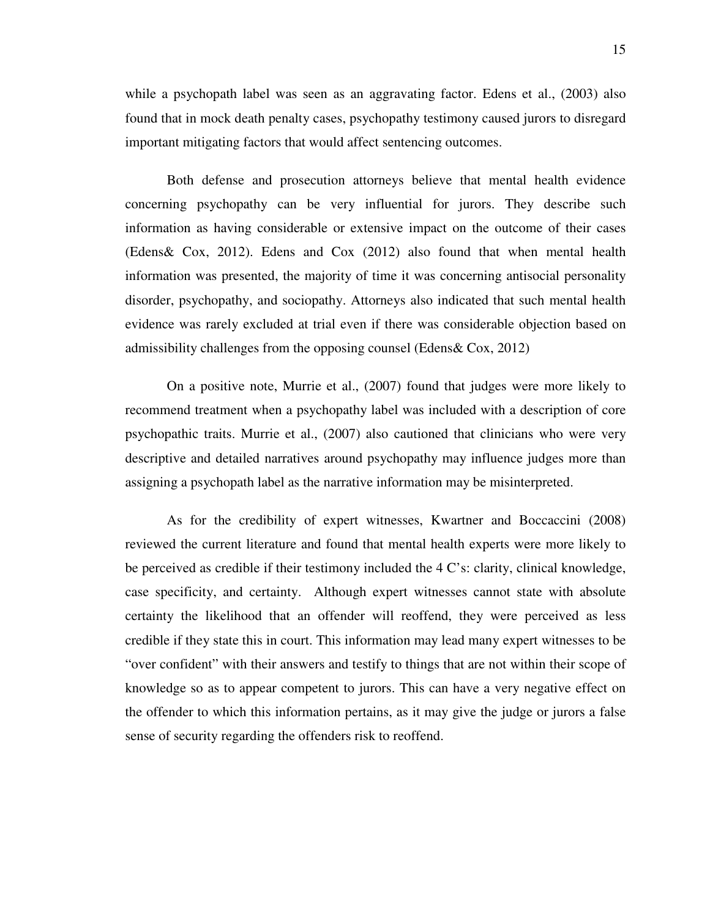while a psychopath label was seen as an aggravating factor. Edens et al., (2003) also found that in mock death penalty cases, psychopathy testimony caused jurors to disregard important mitigating factors that would affect sentencing outcomes.

Both defense and prosecution attorneys believe that mental health evidence concerning psychopathy can be very influential for jurors. They describe such information as having considerable or extensive impact on the outcome of their cases (Edens& Cox, 2012). Edens and Cox (2012) also found that when mental health information was presented, the majority of time it was concerning antisocial personality disorder, psychopathy, and sociopathy. Attorneys also indicated that such mental health evidence was rarely excluded at trial even if there was considerable objection based on admissibility challenges from the opposing counsel (Edens& Cox, 2012)

On a positive note, Murrie et al., (2007) found that judges were more likely to recommend treatment when a psychopathy label was included with a description of core psychopathic traits. Murrie et al., (2007) also cautioned that clinicians who were very descriptive and detailed narratives around psychopathy may influence judges more than assigning a psychopath label as the narrative information may be misinterpreted.

As for the credibility of expert witnesses, Kwartner and Boccaccini (2008) reviewed the current literature and found that mental health experts were more likely to be perceived as credible if their testimony included the 4 C's: clarity, clinical knowledge, case specificity, and certainty. Although expert witnesses cannot state with absolute certainty the likelihood that an offender will reoffend, they were perceived as less credible if they state this in court. This information may lead many expert witnesses to be "over confident" with their answers and testify to things that are not within their scope of knowledge so as to appear competent to jurors. This can have a very negative effect on the offender to which this information pertains, as it may give the judge or jurors a false sense of security regarding the offenders risk to reoffend.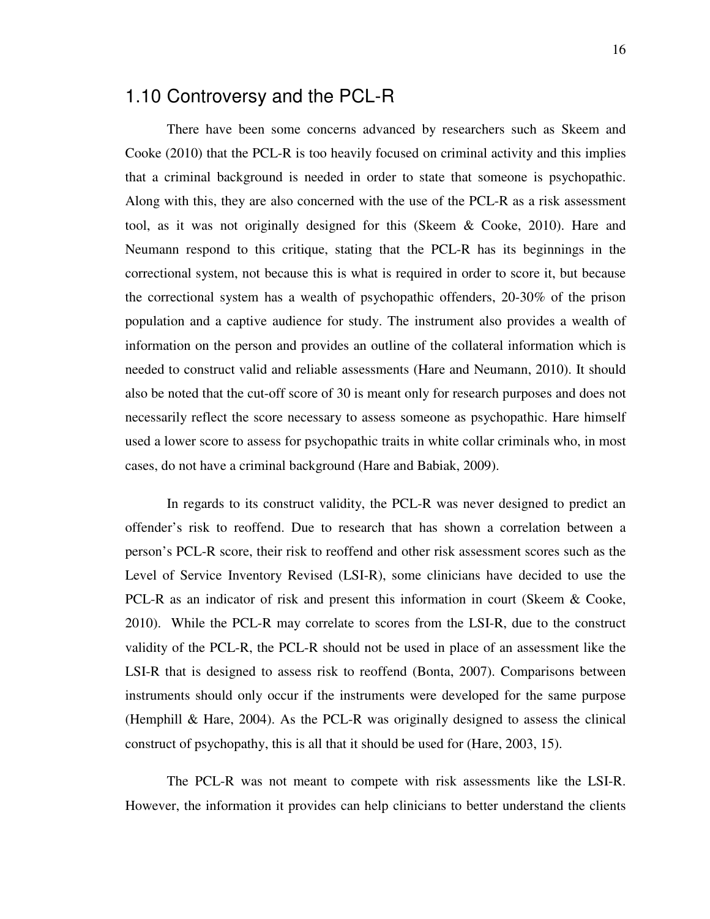#### 1.10 Controversy and the PCL-R

There have been some concerns advanced by researchers such as Skeem and Cooke (2010) that the PCL-R is too heavily focused on criminal activity and this implies that a criminal background is needed in order to state that someone is psychopathic. Along with this, they are also concerned with the use of the PCL-R as a risk assessment tool, as it was not originally designed for this (Skeem & Cooke, 2010). Hare and Neumann respond to this critique, stating that the PCL-R has its beginnings in the correctional system, not because this is what is required in order to score it, but because the correctional system has a wealth of psychopathic offenders, 20-30% of the prison population and a captive audience for study. The instrument also provides a wealth of information on the person and provides an outline of the collateral information which is needed to construct valid and reliable assessments (Hare and Neumann, 2010). It should also be noted that the cut-off score of 30 is meant only for research purposes and does not necessarily reflect the score necessary to assess someone as psychopathic. Hare himself used a lower score to assess for psychopathic traits in white collar criminals who, in most cases, do not have a criminal background (Hare and Babiak, 2009).

In regards to its construct validity, the PCL-R was never designed to predict an offender's risk to reoffend. Due to research that has shown a correlation between a person's PCL-R score, their risk to reoffend and other risk assessment scores such as the Level of Service Inventory Revised (LSI-R), some clinicians have decided to use the PCL-R as an indicator of risk and present this information in court (Skeem & Cooke, 2010). While the PCL-R may correlate to scores from the LSI-R, due to the construct validity of the PCL-R, the PCL-R should not be used in place of an assessment like the LSI-R that is designed to assess risk to reoffend (Bonta, 2007). Comparisons between instruments should only occur if the instruments were developed for the same purpose (Hemphill & Hare, 2004). As the PCL-R was originally designed to assess the clinical construct of psychopathy, this is all that it should be used for (Hare, 2003, 15).

The PCL-R was not meant to compete with risk assessments like the LSI-R. However, the information it provides can help clinicians to better understand the clients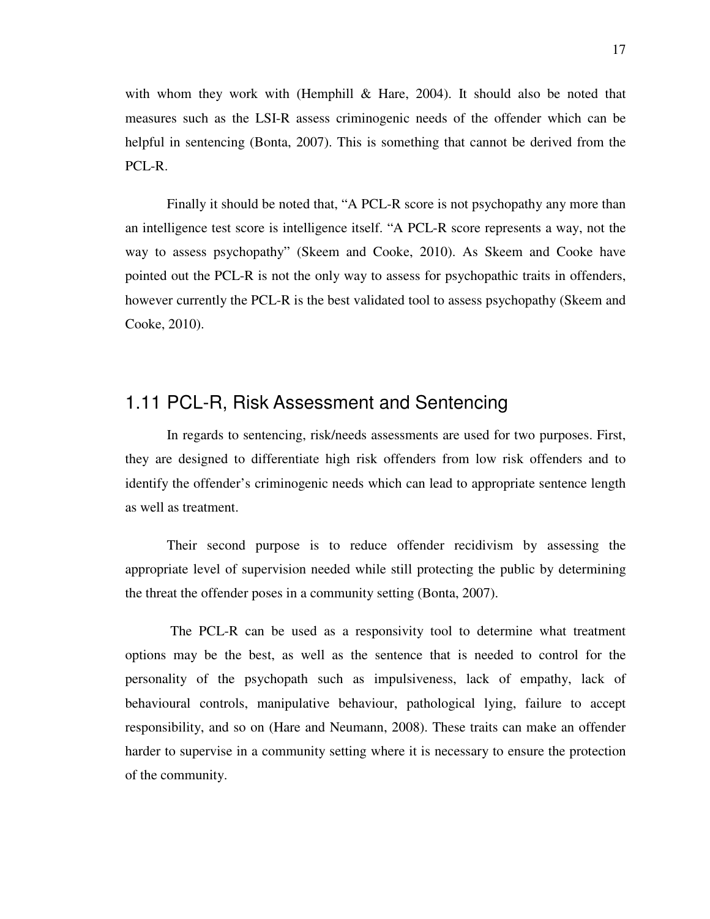with whom they work with (Hemphill  $\&$  Hare, 2004). It should also be noted that measures such as the LSI-R assess criminogenic needs of the offender which can be helpful in sentencing (Bonta, 2007). This is something that cannot be derived from the PCL-R.

Finally it should be noted that, "A PCL-R score is not psychopathy any more than an intelligence test score is intelligence itself. "A PCL-R score represents a way, not the way to assess psychopathy" (Skeem and Cooke, 2010). As Skeem and Cooke have pointed out the PCL-R is not the only way to assess for psychopathic traits in offenders, however currently the PCL-R is the best validated tool to assess psychopathy (Skeem and Cooke, 2010).

### 1.11 PCL-R, Risk Assessment and Sentencing

In regards to sentencing, risk/needs assessments are used for two purposes. First, they are designed to differentiate high risk offenders from low risk offenders and to identify the offender's criminogenic needs which can lead to appropriate sentence length as well as treatment.

Their second purpose is to reduce offender recidivism by assessing the appropriate level of supervision needed while still protecting the public by determining the threat the offender poses in a community setting (Bonta, 2007).

 The PCL-R can be used as a responsivity tool to determine what treatment options may be the best, as well as the sentence that is needed to control for the personality of the psychopath such as impulsiveness, lack of empathy, lack of behavioural controls, manipulative behaviour, pathological lying, failure to accept responsibility, and so on (Hare and Neumann, 2008). These traits can make an offender harder to supervise in a community setting where it is necessary to ensure the protection of the community.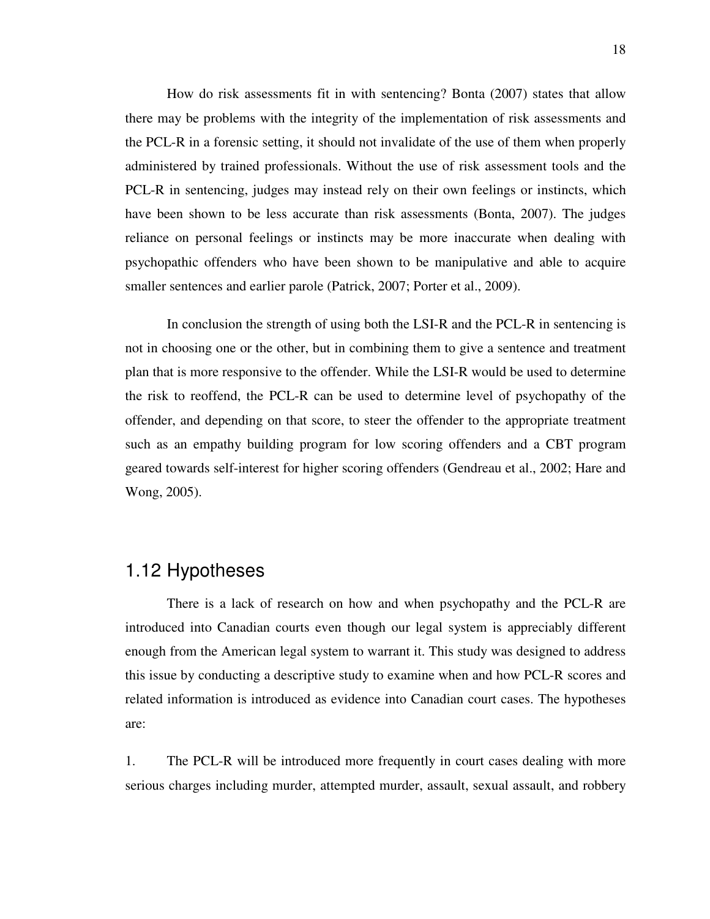How do risk assessments fit in with sentencing? Bonta (2007) states that allow there may be problems with the integrity of the implementation of risk assessments and the PCL-R in a forensic setting, it should not invalidate of the use of them when properly administered by trained professionals. Without the use of risk assessment tools and the PCL-R in sentencing, judges may instead rely on their own feelings or instincts, which have been shown to be less accurate than risk assessments (Bonta, 2007). The judges reliance on personal feelings or instincts may be more inaccurate when dealing with psychopathic offenders who have been shown to be manipulative and able to acquire smaller sentences and earlier parole (Patrick, 2007; Porter et al., 2009).

In conclusion the strength of using both the LSI-R and the PCL-R in sentencing is not in choosing one or the other, but in combining them to give a sentence and treatment plan that is more responsive to the offender. While the LSI-R would be used to determine the risk to reoffend, the PCL-R can be used to determine level of psychopathy of the offender, and depending on that score, to steer the offender to the appropriate treatment such as an empathy building program for low scoring offenders and a CBT program geared towards self-interest for higher scoring offenders (Gendreau et al., 2002; Hare and Wong, 2005).

#### 1.12 Hypotheses

There is a lack of research on how and when psychopathy and the PCL-R are introduced into Canadian courts even though our legal system is appreciably different enough from the American legal system to warrant it. This study was designed to address this issue by conducting a descriptive study to examine when and how PCL-R scores and related information is introduced as evidence into Canadian court cases. The hypotheses are:

1. The PCL-R will be introduced more frequently in court cases dealing with more serious charges including murder, attempted murder, assault, sexual assault, and robbery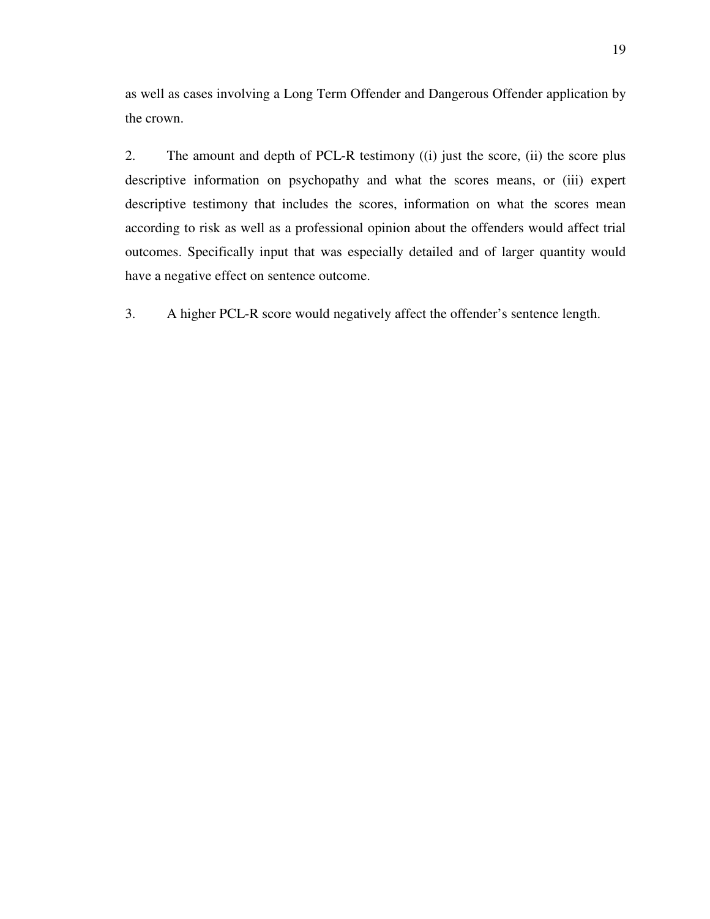as well as cases involving a Long Term Offender and Dangerous Offender application by the crown.

2. The amount and depth of PCL-R testimony ((i) just the score, (ii) the score plus descriptive information on psychopathy and what the scores means, or (iii) expert descriptive testimony that includes the scores, information on what the scores mean according to risk as well as a professional opinion about the offenders would affect trial outcomes. Specifically input that was especially detailed and of larger quantity would have a negative effect on sentence outcome.

3. A higher PCL-R score would negatively affect the offender's sentence length.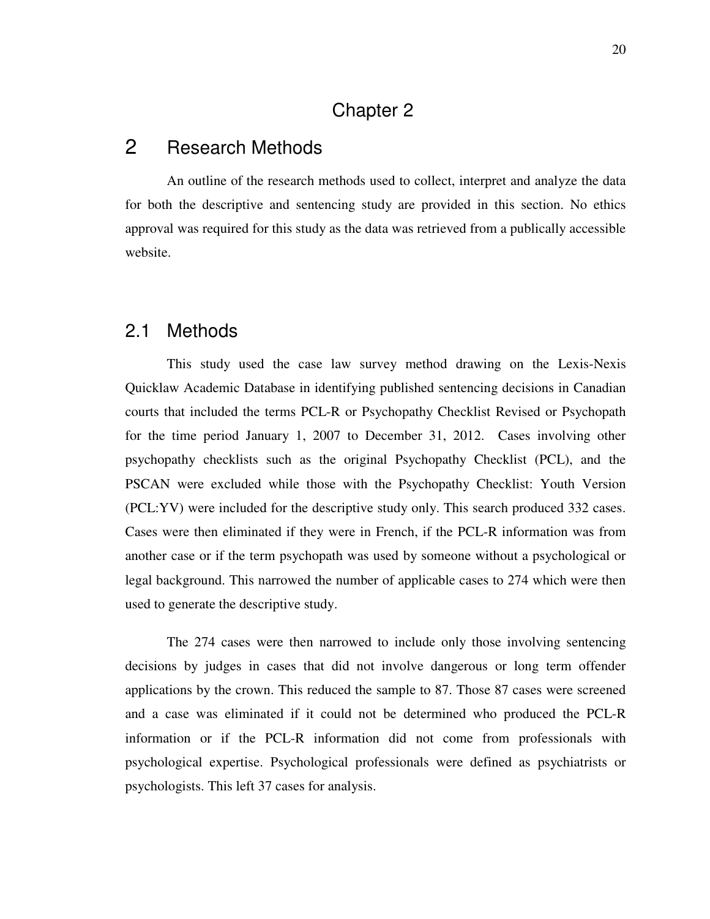### Chapter 2

### 2 Research Methods

An outline of the research methods used to collect, interpret and analyze the data for both the descriptive and sentencing study are provided in this section. No ethics approval was required for this study as the data was retrieved from a publically accessible website.

#### 2.1 Methods

This study used the case law survey method drawing on the Lexis-Nexis Quicklaw Academic Database in identifying published sentencing decisions in Canadian courts that included the terms PCL-R or Psychopathy Checklist Revised or Psychopath for the time period January 1, 2007 to December 31, 2012. Cases involving other psychopathy checklists such as the original Psychopathy Checklist (PCL), and the PSCAN were excluded while those with the Psychopathy Checklist: Youth Version (PCL:YV) were included for the descriptive study only. This search produced 332 cases. Cases were then eliminated if they were in French, if the PCL-R information was from another case or if the term psychopath was used by someone without a psychological or legal background. This narrowed the number of applicable cases to 274 which were then used to generate the descriptive study.

The 274 cases were then narrowed to include only those involving sentencing decisions by judges in cases that did not involve dangerous or long term offender applications by the crown. This reduced the sample to 87. Those 87 cases were screened and a case was eliminated if it could not be determined who produced the PCL-R information or if the PCL-R information did not come from professionals with psychological expertise. Psychological professionals were defined as psychiatrists or psychologists. This left 37 cases for analysis.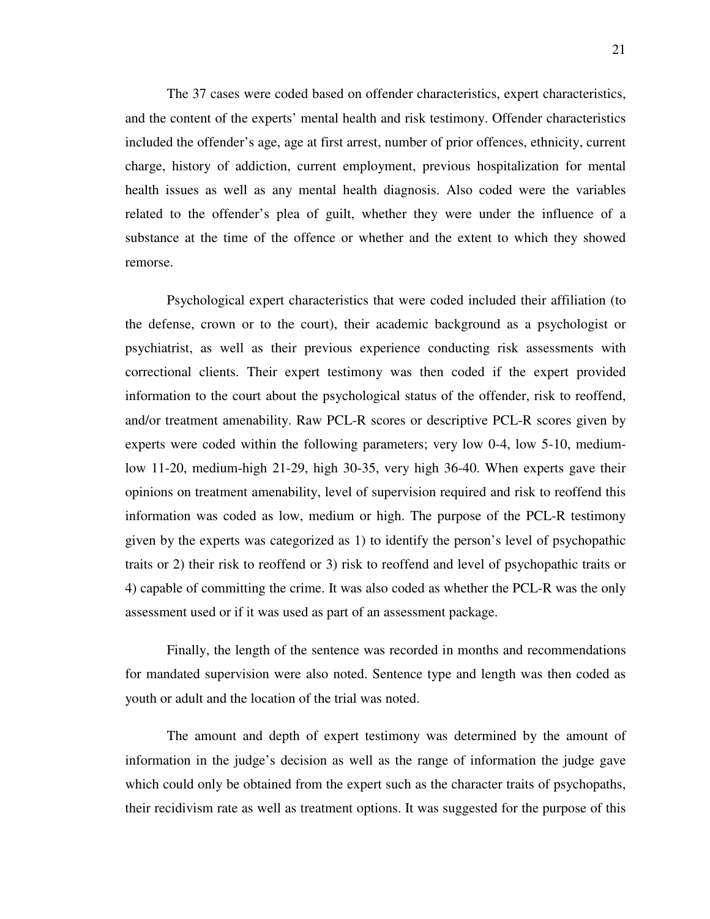The 37 cases were coded based on offender characteristics, expert characteristics, and the content of the experts' mental health and risk testimony. Offender characteristics included the offender's age, age at first arrest, number of prior offences, ethnicity, current charge, history of addiction, current employment, previous hospitalization for mental health issues as well as any mental health diagnosis. Also coded were the variables related to the offender's plea of guilt, whether they were under the influence of a substance at the time of the offence or whether and the extent to which they showed remorse.

Psychological expert characteristics that were coded included their affiliation (to the defense, crown or to the court), their academic background as a psychologist or psychiatrist, as well as their previous experience conducting risk assessments with correctional clients. Their expert testimony was then coded if the expert provided information to the court about the psychological status of the offender, risk to reoffend, and/or treatment amenability. Raw PCL-R scores or descriptive PCL-R scores given by experts were coded within the following parameters; very low 0-4, low 5-10, mediumlow 11-20, medium-high 21-29, high 30-35, very high 36-40. When experts gave their opinions on treatment amenability, level of supervision required and risk to reoffend this information was coded as low, medium or high. The purpose of the PCL-R testimony given by the experts was categorized as 1) to identify the person's level of psychopathic traits or 2) their risk to reoffend or 3) risk to reoffend and level of psychopathic traits or 4) capable of committing the crime. It was also coded as whether the PCL-R was the only assessment used or if it was used as part of an assessment package.

Finally, the length of the sentence was recorded in months and recommendations for mandated supervision were also noted. Sentence type and length was then coded as youth or adult and the location of the trial was noted.

The amount and depth of expert testimony was determined by the amount of information in the judge's decision as well as the range of information the judge gave which could only be obtained from the expert such as the character traits of psychopaths, their recidivism rate as well as treatment options. It was suggested for the purpose of this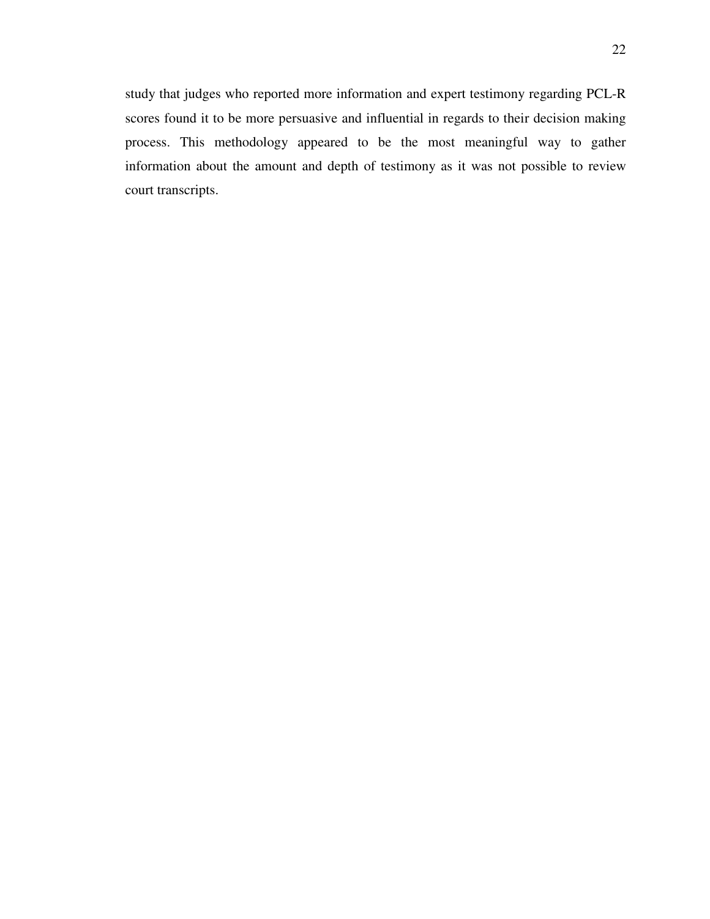study that judges who reported more information and expert testimony regarding PCL-R scores found it to be more persuasive and influential in regards to their decision making process. This methodology appeared to be the most meaningful way to gather information about the amount and depth of testimony as it was not possible to review court transcripts.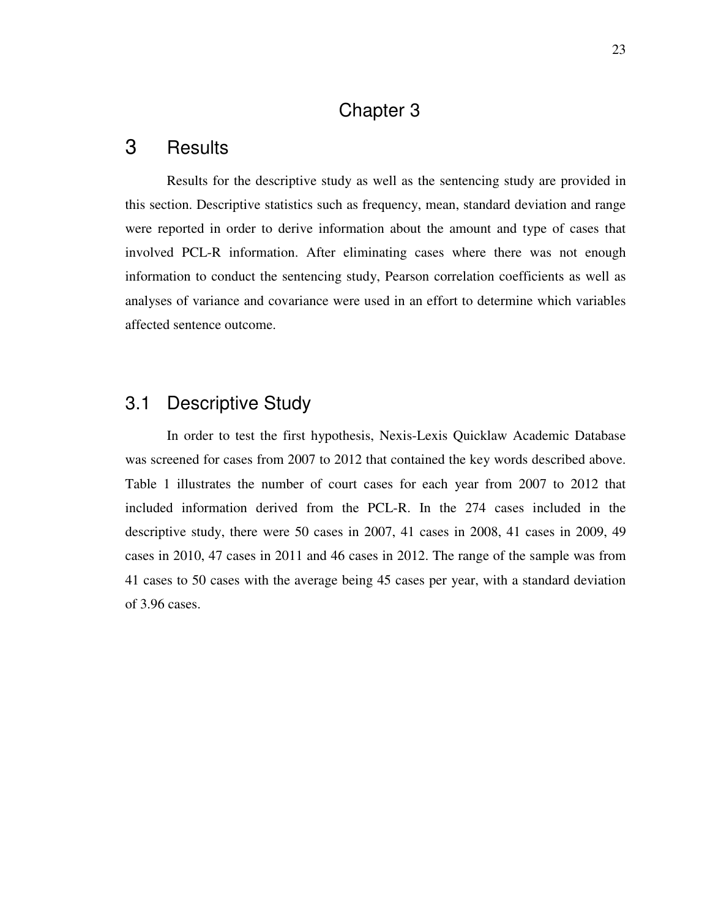### Chapter 3

### 3 Results

Results for the descriptive study as well as the sentencing study are provided in this section. Descriptive statistics such as frequency, mean, standard deviation and range were reported in order to derive information about the amount and type of cases that involved PCL-R information. After eliminating cases where there was not enough information to conduct the sentencing study, Pearson correlation coefficients as well as analyses of variance and covariance were used in an effort to determine which variables affected sentence outcome.

### 3.1 Descriptive Study

In order to test the first hypothesis, Nexis-Lexis Quicklaw Academic Database was screened for cases from 2007 to 2012 that contained the key words described above. Table 1 illustrates the number of court cases for each year from 2007 to 2012 that included information derived from the PCL-R. In the 274 cases included in the descriptive study, there were 50 cases in 2007, 41 cases in 2008, 41 cases in 2009, 49 cases in 2010, 47 cases in 2011 and 46 cases in 2012. The range of the sample was from 41 cases to 50 cases with the average being 45 cases per year, with a standard deviation of 3.96 cases.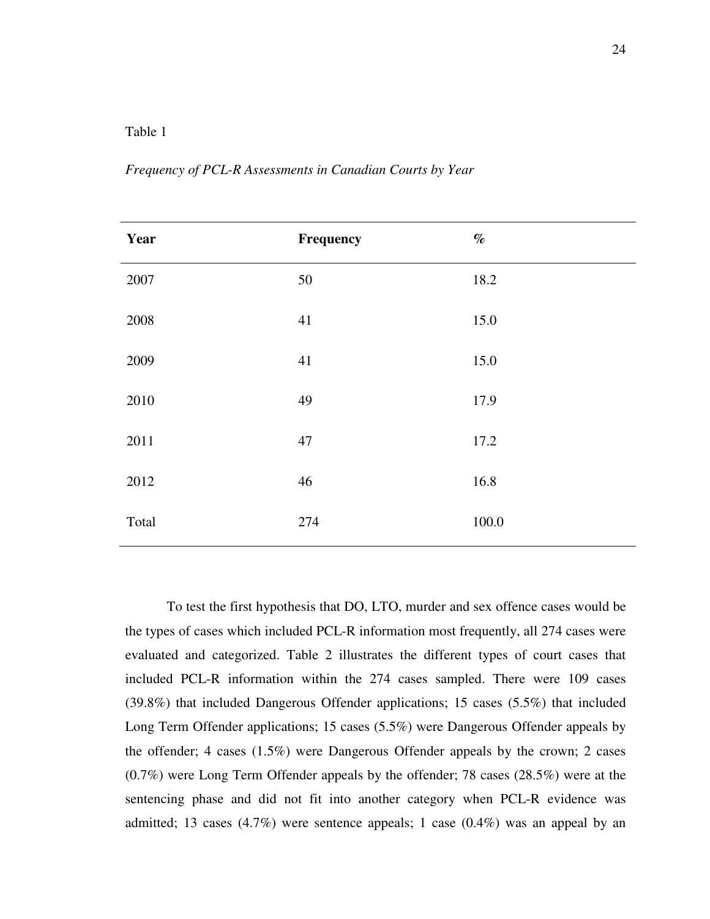#### Table 1

*Frequency of PCL-R Assessments in Canadian Courts by Year* 

| Year  | Frequency | $\%$  |
|-------|-----------|-------|
| 2007  | 50        | 18.2  |
| 2008  | 41        | 15.0  |
| 2009  | 41        | 15.0  |
| 2010  | 49        | 17.9  |
| 2011  | 47        | 17.2  |
| 2012  | 46        | 16.8  |
| Total | 274       | 100.0 |

To test the first hypothesis that DO, LTO, murder and sex offence cases would be the types of cases which included PCL-R information most frequently, all 274 cases were evaluated and categorized. Table 2 illustrates the different types of court cases that included PCL-R information within the 274 cases sampled. There were 109 cases (39.8%) that included Dangerous Offender applications; 15 cases (5.5%) that included Long Term Offender applications; 15 cases (5.5%) were Dangerous Offender appeals by the offender; 4 cases (1.5%) were Dangerous Offender appeals by the crown; 2 cases (0.7%) were Long Term Offender appeals by the offender; 78 cases (28.5%) were at the sentencing phase and did not fit into another category when PCL-R evidence was admitted; 13 cases  $(4.7\%)$  were sentence appeals; 1 case  $(0.4\%)$  was an appeal by an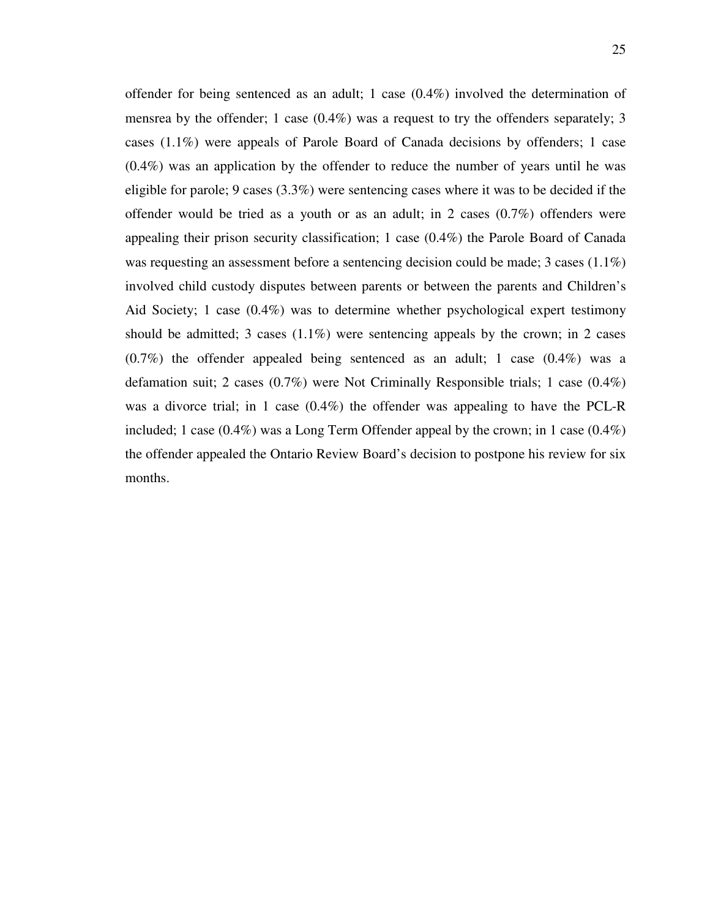offender for being sentenced as an adult; 1 case (0.4%) involved the determination of mensrea by the offender; 1 case  $(0.4\%)$  was a request to try the offenders separately; 3 cases (1.1%) were appeals of Parole Board of Canada decisions by offenders; 1 case (0.4%) was an application by the offender to reduce the number of years until he was eligible for parole; 9 cases (3.3%) were sentencing cases where it was to be decided if the offender would be tried as a youth or as an adult; in 2 cases (0.7%) offenders were appealing their prison security classification; 1 case (0.4%) the Parole Board of Canada was requesting an assessment before a sentencing decision could be made; 3 cases (1.1%) involved child custody disputes between parents or between the parents and Children's Aid Society; 1 case (0.4%) was to determine whether psychological expert testimony should be admitted; 3 cases  $(1.1\%)$  were sentencing appeals by the crown; in 2 cases  $(0.7\%)$  the offender appealed being sentenced as an adult; 1 case  $(0.4\%)$  was a defamation suit; 2 cases (0.7%) were Not Criminally Responsible trials; 1 case (0.4%) was a divorce trial; in 1 case (0.4%) the offender was appealing to have the PCL-R included; 1 case (0.4%) was a Long Term Offender appeal by the crown; in 1 case (0.4%) the offender appealed the Ontario Review Board's decision to postpone his review for six months.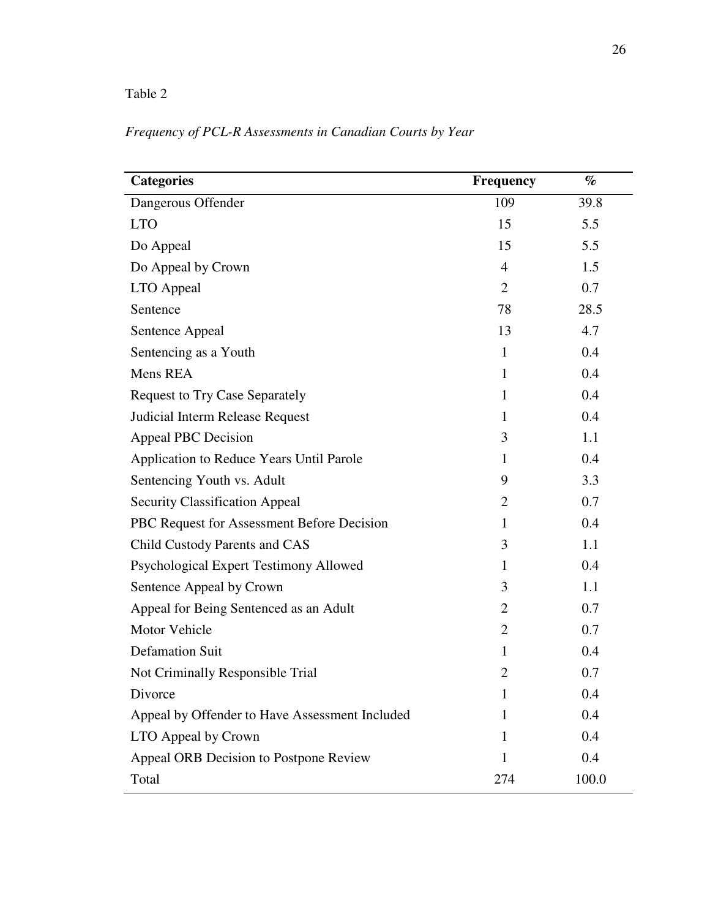#### Table 2

#### *Frequency of PCL-R Assessments in Canadian Courts by Year*

| <b>Categories</b>                              | <b>Frequency</b> | $\%$  |
|------------------------------------------------|------------------|-------|
| Dangerous Offender                             | 109              | 39.8  |
| <b>LTO</b>                                     | 15               | 5.5   |
| Do Appeal                                      | 15               | 5.5   |
| Do Appeal by Crown                             | $\overline{4}$   | 1.5   |
| LTO Appeal                                     | $\overline{2}$   | 0.7   |
| Sentence                                       | 78               | 28.5  |
| Sentence Appeal                                | 13               | 4.7   |
| Sentencing as a Youth                          | 1                | 0.4   |
| Mens REA                                       | 1                | 0.4   |
| <b>Request to Try Case Separately</b>          | 1                | 0.4   |
| Judicial Interm Release Request                | 1                | 0.4   |
| <b>Appeal PBC Decision</b>                     | 3                | 1.1   |
| Application to Reduce Years Until Parole       | 1                | 0.4   |
| Sentencing Youth vs. Adult                     | 9                | 3.3   |
| <b>Security Classification Appeal</b>          | $\overline{2}$   | 0.7   |
| PBC Request for Assessment Before Decision     | 1                | 0.4   |
| Child Custody Parents and CAS                  | 3                | 1.1   |
| Psychological Expert Testimony Allowed         | 1                | 0.4   |
| Sentence Appeal by Crown                       | 3                | 1.1   |
| Appeal for Being Sentenced as an Adult         | $\overline{2}$   | 0.7   |
| Motor Vehicle                                  | $\overline{2}$   | 0.7   |
| <b>Defamation Suit</b>                         | 1                | 0.4   |
| Not Criminally Responsible Trial               | $\overline{2}$   | 0.7   |
| Divorce                                        | 1                | 0.4   |
| Appeal by Offender to Have Assessment Included | 1                | 0.4   |
| LTO Appeal by Crown                            | 1                | 0.4   |
| Appeal ORB Decision to Postpone Review         | 1                | 0.4   |
| Total                                          | 274              | 100.0 |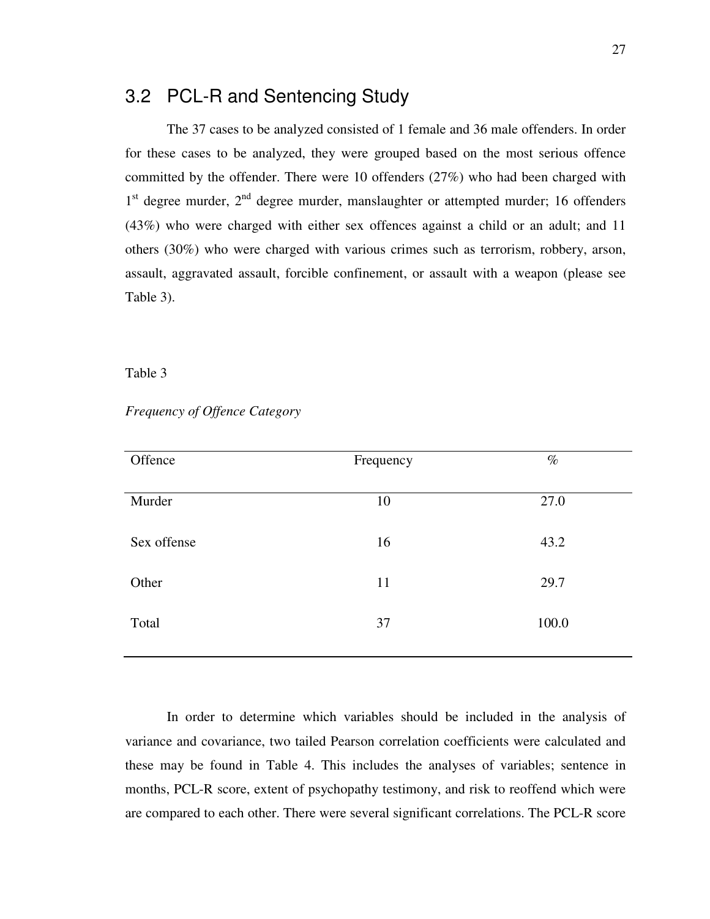#### 3.2 PCL-R and Sentencing Study

The 37 cases to be analyzed consisted of 1 female and 36 male offenders. In order for these cases to be analyzed, they were grouped based on the most serious offence committed by the offender. There were 10 offenders (27%) who had been charged with 1<sup>st</sup> degree murder, 2<sup>nd</sup> degree murder, manslaughter or attempted murder; 16 offenders (43%) who were charged with either sex offences against a child or an adult; and 11 others (30%) who were charged with various crimes such as terrorism, robbery, arson, assault, aggravated assault, forcible confinement, or assault with a weapon (please see Table 3).

#### Table 3

| Offence     | Frequency | $\%$  |
|-------------|-----------|-------|
| Murder      | 10        | 27.0  |
| Sex offense | 16        | 43.2  |
| Other       | 11        | 29.7  |
| Total       | 37        | 100.0 |
|             |           |       |

*Frequency of Offence Category* 

In order to determine which variables should be included in the analysis of variance and covariance, two tailed Pearson correlation coefficients were calculated and these may be found in Table 4. This includes the analyses of variables; sentence in months, PCL-R score, extent of psychopathy testimony, and risk to reoffend which were are compared to each other. There were several significant correlations. The PCL-R score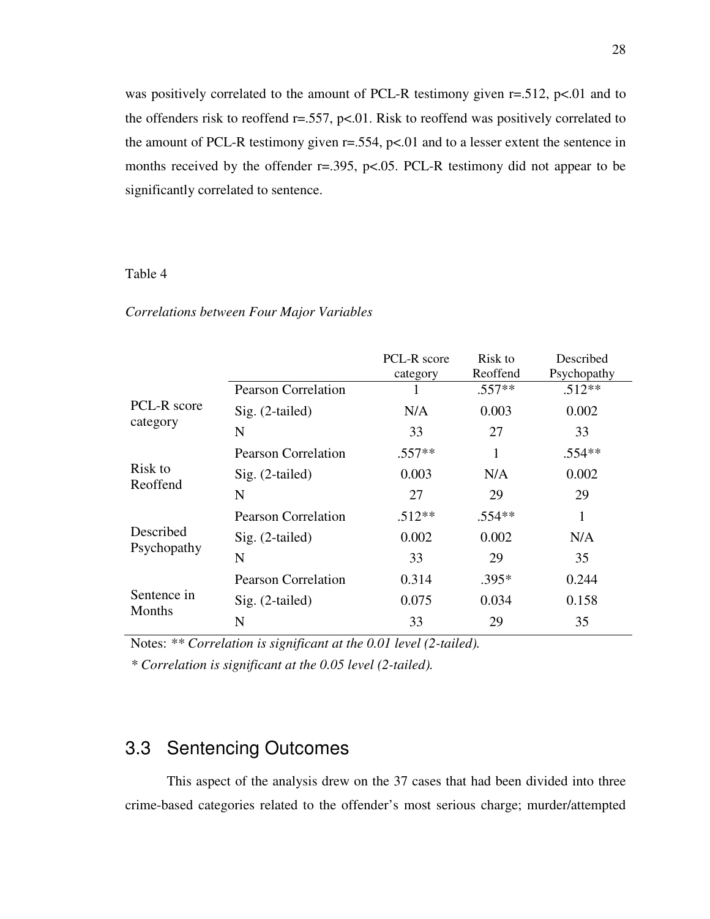was positively correlated to the amount of PCL-R testimony given r=.512, p<.01 and to the offenders risk to reoffend  $r = .557$ ,  $p < .01$ . Risk to reoffend was positively correlated to the amount of PCL-R testimony given  $r = .554$ ,  $p < .01$  and to a lesser extent the sentence in months received by the offender r=.395, p<.05. PCL-R testimony did not appear to be significantly correlated to sentence.

#### Table 4

#### *Correlations between Four Major Variables*

|                              |                            | PCL-R score<br>category | Risk to<br>Reoffend | Described<br>Psychopathy |
|------------------------------|----------------------------|-------------------------|---------------------|--------------------------|
|                              | <b>Pearson Correlation</b> |                         | $.557**$            | $.512**$                 |
| PCL-R score                  | $Sig. (2-tailed)$          | N/A                     | 0.003               | 0.002                    |
| category                     | N                          | 33                      | 27                  | 33                       |
|                              | <b>Pearson Correlation</b> | $.557**$                | 1                   | $.554**$                 |
| Risk to<br>Reoffend          | $Sig. (2-tailed)$          | 0.003                   | N/A                 | 0.002                    |
|                              | N                          | 27                      | 29                  | 29                       |
|                              | <b>Pearson Correlation</b> | $.512**$                | $.554**$            | 1                        |
| Described                    | $Sig. (2-tailed)$          | 0.002                   | 0.002               | N/A                      |
| Psychopathy                  | N                          | 33                      | 29                  | 35                       |
| Sentence in<br><b>Months</b> | <b>Pearson Correlation</b> | 0.314                   | $.395*$             | 0.244                    |
|                              | $Sig. (2-tailed)$          | 0.075                   | 0.034               | 0.158                    |
|                              | N                          | 33                      | 29                  | 35                       |

Notes: *\*\* Correlation is significant at the 0.01 level (2-tailed).*

*\* Correlation is significant at the 0.05 level (2-tailed).*

### 3.3 Sentencing Outcomes

This aspect of the analysis drew on the 37 cases that had been divided into three crime-based categories related to the offender's most serious charge; murder/attempted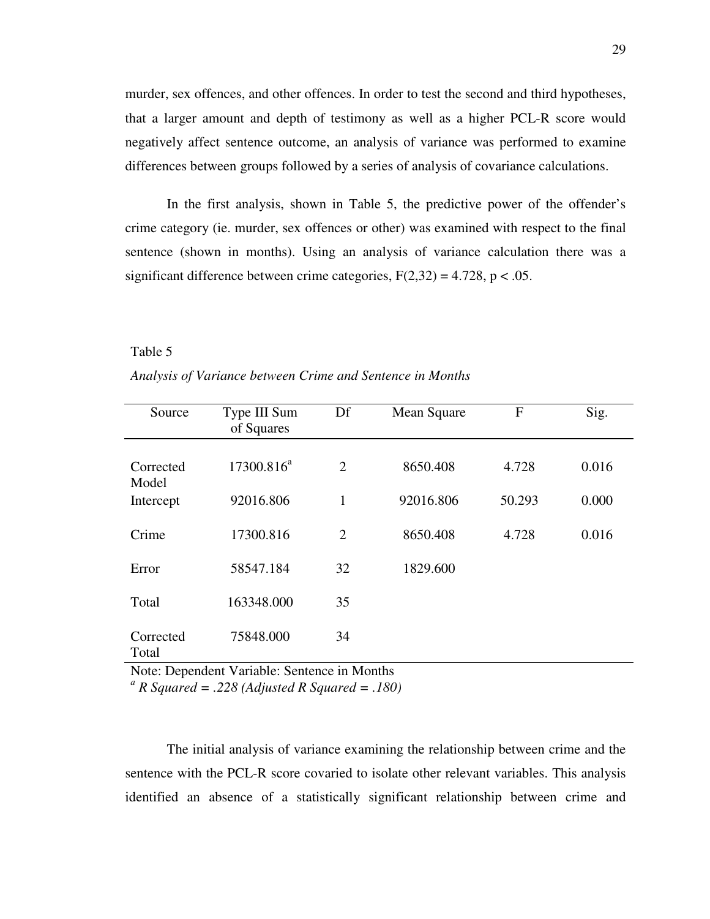murder, sex offences, and other offences. In order to test the second and third hypotheses, that a larger amount and depth of testimony as well as a higher PCL-R score would negatively affect sentence outcome, an analysis of variance was performed to examine differences between groups followed by a series of analysis of covariance calculations.

In the first analysis, shown in Table 5, the predictive power of the offender's crime category (ie. murder, sex offences or other) was examined with respect to the final sentence (shown in months). Using an analysis of variance calculation there was a significant difference between crime categories,  $F(2,32) = 4.728$ ,  $p < .05$ .

#### Table 5

#### *Analysis of Variance between Crime and Sentence in Months*

| Source             | Type III Sum<br>of Squares | Df | Mean Square | F      | Sig.  |
|--------------------|----------------------------|----|-------------|--------|-------|
| Corrected<br>Model | $17300.816^a$              | 2  | 8650.408    | 4.728  | 0.016 |
| Intercept          | 92016.806                  | 1  | 92016.806   | 50.293 | 0.000 |
| Crime              | 17300.816                  | 2  | 8650.408    | 4.728  | 0.016 |
| Error              | 58547.184                  | 32 | 1829.600    |        |       |
| Total              | 163348.000                 | 35 |             |        |       |
| Corrected<br>Total | 75848.000                  | 34 |             |        |       |

Note: Dependent Variable: Sentence in Months

*a R Squared = .228 (Adjusted R Squared = .180)*

The initial analysis of variance examining the relationship between crime and the sentence with the PCL-R score covaried to isolate other relevant variables. This analysis identified an absence of a statistically significant relationship between crime and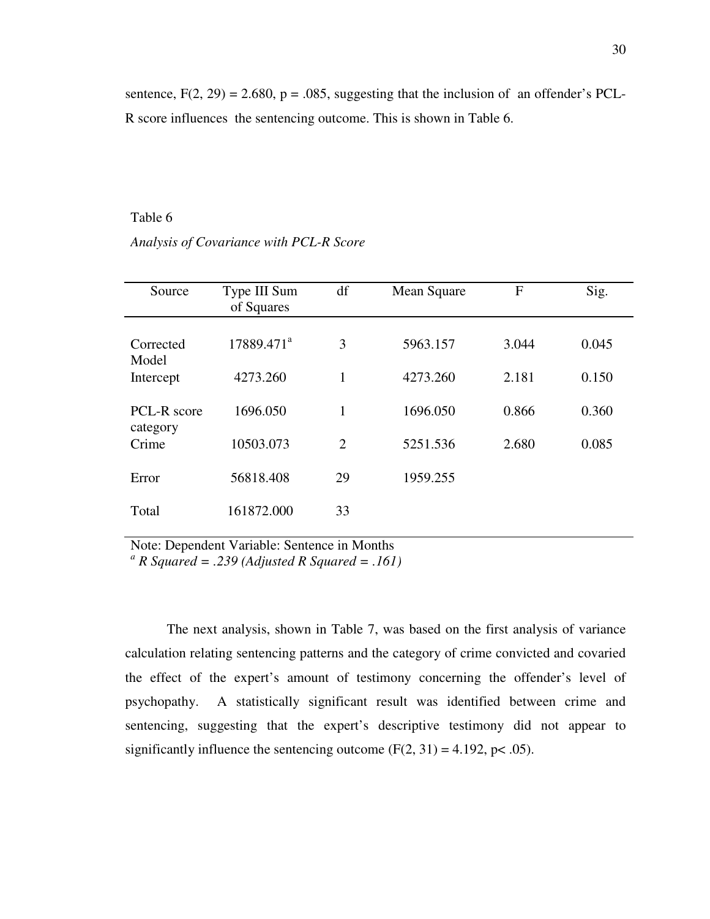sentence,  $F(2, 29) = 2.680$ ,  $p = .085$ , suggesting that the inclusion of an offender's PCL-R score influences the sentencing outcome. This is shown in Table 6.

#### Table 6

*Analysis of Covariance with PCL-R Score* 

| Source                  | Type III Sum<br>of Squares | df | Mean Square | $\mathbf{F}$ | Sig.  |
|-------------------------|----------------------------|----|-------------|--------------|-------|
| Corrected<br>Model      | 17889.471 <sup>a</sup>     | 3  | 5963.157    | 3.044        | 0.045 |
| Intercept               | 4273.260                   | 1  | 4273.260    | 2.181        | 0.150 |
| PCL-R score<br>category | 1696.050                   | 1  | 1696.050    | 0.866        | 0.360 |
| Crime                   | 10503.073                  | 2  | 5251.536    | 2.680        | 0.085 |
| Error                   | 56818.408                  | 29 | 1959.255    |              |       |
| Total                   | 161872.000                 | 33 |             |              |       |

Note: Dependent Variable: Sentence in Months *a R Squared = .239 (Adjusted R Squared = .161)* 

The next analysis, shown in Table 7, was based on the first analysis of variance calculation relating sentencing patterns and the category of crime convicted and covaried the effect of the expert's amount of testimony concerning the offender's level of psychopathy. A statistically significant result was identified between crime and sentencing, suggesting that the expert's descriptive testimony did not appear to significantly influence the sentencing outcome  $(F(2, 31) = 4.192, p < .05)$ .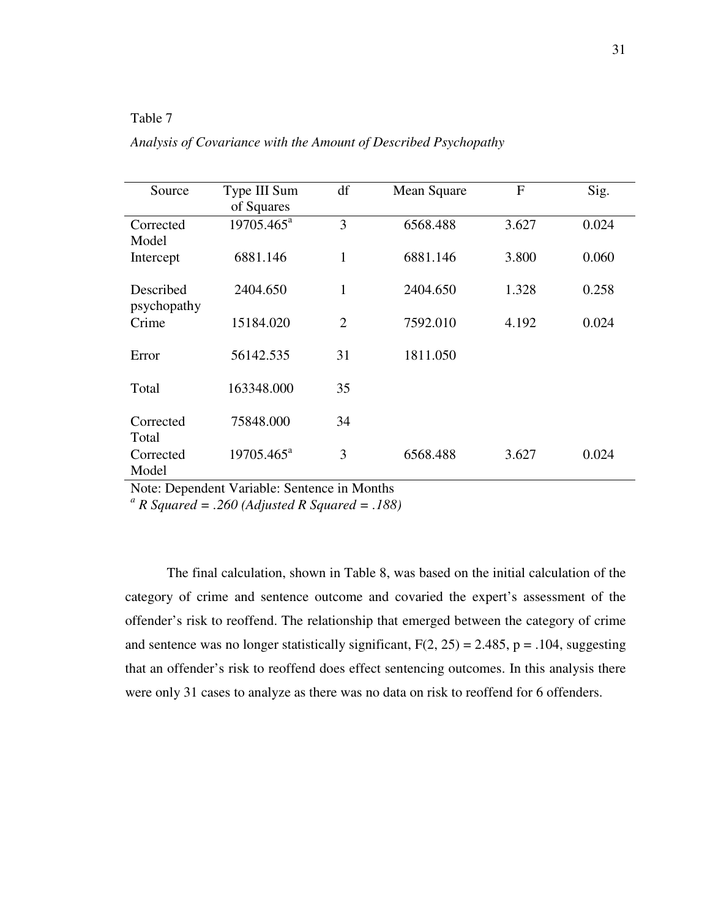#### Table 7

*Analysis of Covariance with the Amount of Described Psychopathy* 

| Source                   | Type III Sum<br>of Squares | df             | Mean Square | $\mathbf{F}$ | Sig.  |
|--------------------------|----------------------------|----------------|-------------|--------------|-------|
| Corrected<br>Model       | $19705.465^{\text{a}}$     | 3              | 6568.488    | 3.627        | 0.024 |
| Intercept                | 6881.146                   | $\mathbf{1}$   | 6881.146    | 3.800        | 0.060 |
| Described<br>psychopathy | 2404.650                   | $\mathbf{1}$   | 2404.650    | 1.328        | 0.258 |
| Crime                    | 15184.020                  | $\overline{2}$ | 7592.010    | 4.192        | 0.024 |
| Error                    | 56142.535                  | 31             | 1811.050    |              |       |
| Total                    | 163348.000                 | 35             |             |              |       |
| Corrected<br>Total       | 75848.000                  | 34             |             |              |       |
| Corrected<br>Model       | $19705.465^{\text{a}}$     | 3              | 6568.488    | 3.627        | 0.024 |

Note: Dependent Variable: Sentence in Months

*a R Squared = .260 (Adjusted R Squared = .188)* 

The final calculation, shown in Table 8, was based on the initial calculation of the category of crime and sentence outcome and covaried the expert's assessment of the offender's risk to reoffend. The relationship that emerged between the category of crime and sentence was no longer statistically significant,  $F(2, 25) = 2.485$ ,  $p = .104$ , suggesting that an offender's risk to reoffend does effect sentencing outcomes. In this analysis there were only 31 cases to analyze as there was no data on risk to reoffend for 6 offenders.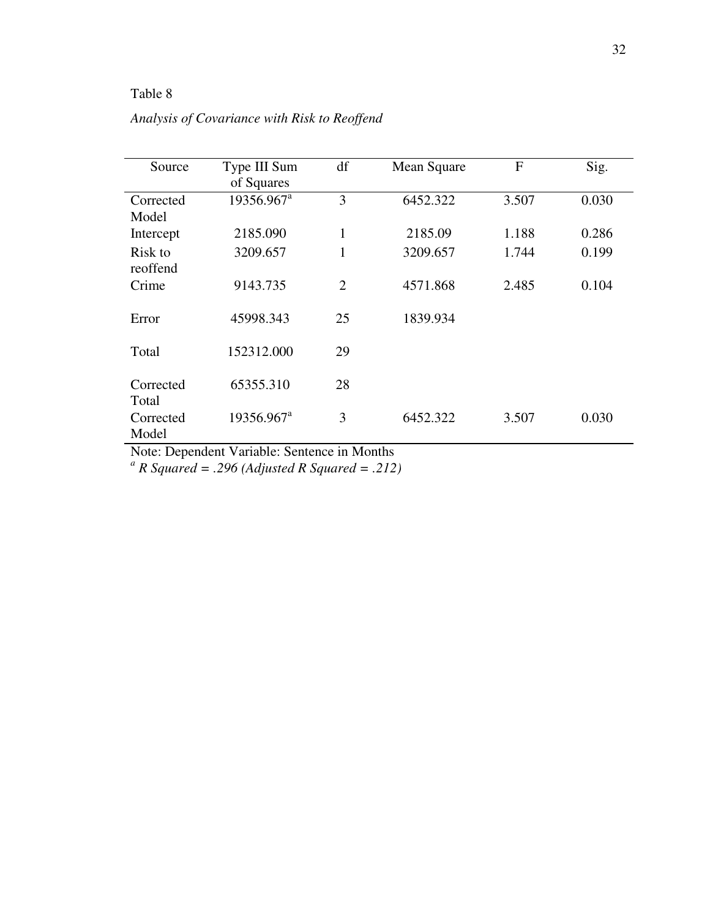#### Table 8

|  |  | Analysis of Covariance with Risk to Reoffend |  |  |
|--|--|----------------------------------------------|--|--|
|--|--|----------------------------------------------|--|--|

| Source              | Type III Sum<br>of Squares | df             | Mean Square | $\mathbf{F}$ | Sig.  |
|---------------------|----------------------------|----------------|-------------|--------------|-------|
| Corrected<br>Model  | 19356.967 <sup>a</sup>     | 3              | 6452.322    | 3.507        | 0.030 |
| Intercept           | 2185.090                   | $\mathbf{1}$   | 2185.09     | 1.188        | 0.286 |
| Risk to<br>reoffend | 3209.657                   | 1              | 3209.657    | 1.744        | 0.199 |
| Crime               | 9143.735                   | $\overline{2}$ | 4571.868    | 2.485        | 0.104 |
| Error               | 45998.343                  | 25             | 1839.934    |              |       |
| Total               | 152312.000                 | 29             |             |              |       |
| Corrected<br>Total  | 65355.310                  | 28             |             |              |       |
| Corrected<br>Model  | 19356.967 <sup>a</sup>     | 3              | 6452.322    | 3.507        | 0.030 |

Note: Dependent Variable: Sentence in Months<br><sup>*a*</sup> *R* Squared = .296 (Adjusted *R* Squared = .212)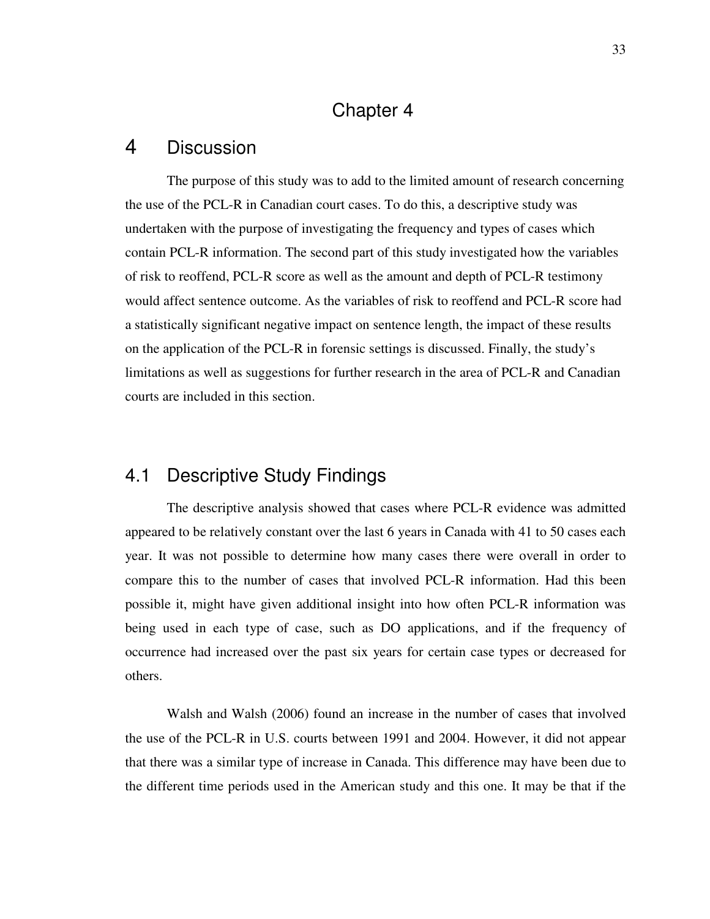### Chapter 4

#### 4 Discussion

The purpose of this study was to add to the limited amount of research concerning the use of the PCL-R in Canadian court cases. To do this, a descriptive study was undertaken with the purpose of investigating the frequency and types of cases which contain PCL-R information. The second part of this study investigated how the variables of risk to reoffend, PCL-R score as well as the amount and depth of PCL-R testimony would affect sentence outcome. As the variables of risk to reoffend and PCL-R score had a statistically significant negative impact on sentence length, the impact of these results on the application of the PCL-R in forensic settings is discussed. Finally, the study's limitations as well as suggestions for further research in the area of PCL-R and Canadian courts are included in this section.

#### 4.1 Descriptive Study Findings

The descriptive analysis showed that cases where PCL-R evidence was admitted appeared to be relatively constant over the last 6 years in Canada with 41 to 50 cases each year. It was not possible to determine how many cases there were overall in order to compare this to the number of cases that involved PCL-R information. Had this been possible it, might have given additional insight into how often PCL-R information was being used in each type of case, such as DO applications, and if the frequency of occurrence had increased over the past six years for certain case types or decreased for others.

Walsh and Walsh (2006) found an increase in the number of cases that involved the use of the PCL-R in U.S. courts between 1991 and 2004. However, it did not appear that there was a similar type of increase in Canada. This difference may have been due to the different time periods used in the American study and this one. It may be that if the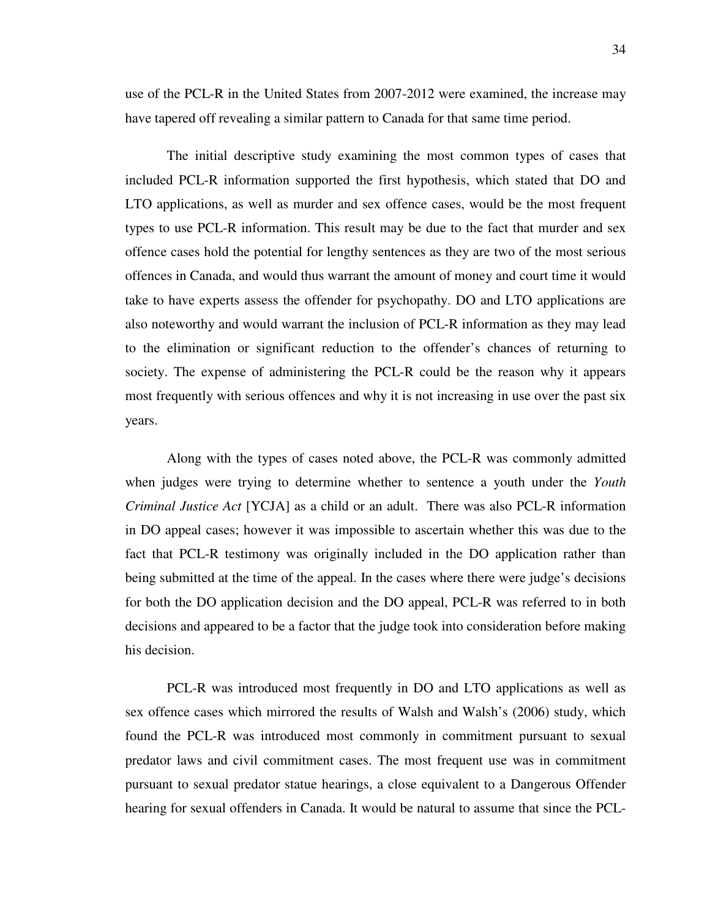use of the PCL-R in the United States from 2007-2012 were examined, the increase may have tapered off revealing a similar pattern to Canada for that same time period.

The initial descriptive study examining the most common types of cases that included PCL-R information supported the first hypothesis, which stated that DO and LTO applications, as well as murder and sex offence cases, would be the most frequent types to use PCL-R information. This result may be due to the fact that murder and sex offence cases hold the potential for lengthy sentences as they are two of the most serious offences in Canada, and would thus warrant the amount of money and court time it would take to have experts assess the offender for psychopathy. DO and LTO applications are also noteworthy and would warrant the inclusion of PCL-R information as they may lead to the elimination or significant reduction to the offender's chances of returning to society. The expense of administering the PCL-R could be the reason why it appears most frequently with serious offences and why it is not increasing in use over the past six years.

Along with the types of cases noted above, the PCL-R was commonly admitted when judges were trying to determine whether to sentence a youth under the *Youth Criminal Justice Act* [YCJA] as a child or an adult. There was also PCL-R information in DO appeal cases; however it was impossible to ascertain whether this was due to the fact that PCL-R testimony was originally included in the DO application rather than being submitted at the time of the appeal. In the cases where there were judge's decisions for both the DO application decision and the DO appeal, PCL-R was referred to in both decisions and appeared to be a factor that the judge took into consideration before making his decision.

PCL-R was introduced most frequently in DO and LTO applications as well as sex offence cases which mirrored the results of Walsh and Walsh's (2006) study, which found the PCL-R was introduced most commonly in commitment pursuant to sexual predator laws and civil commitment cases. The most frequent use was in commitment pursuant to sexual predator statue hearings, a close equivalent to a Dangerous Offender hearing for sexual offenders in Canada. It would be natural to assume that since the PCL-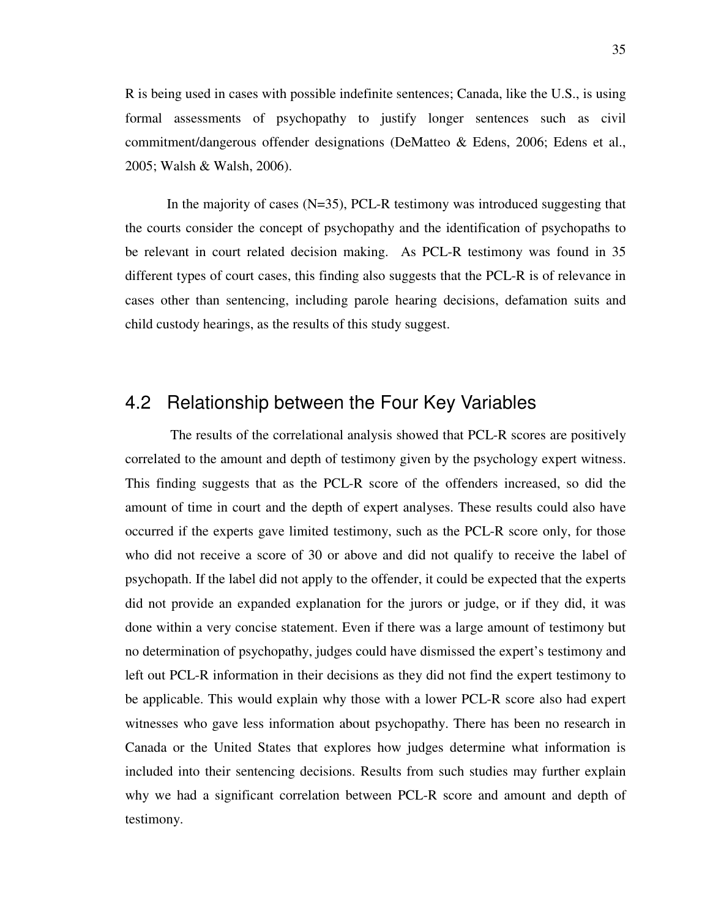R is being used in cases with possible indefinite sentences; Canada, like the U.S., is using formal assessments of psychopathy to justify longer sentences such as civil commitment/dangerous offender designations (DeMatteo & Edens, 2006; Edens et al., 2005; Walsh & Walsh, 2006).

In the majority of cases (N=35), PCL-R testimony was introduced suggesting that the courts consider the concept of psychopathy and the identification of psychopaths to be relevant in court related decision making. As PCL-R testimony was found in 35 different types of court cases, this finding also suggests that the PCL-R is of relevance in cases other than sentencing, including parole hearing decisions, defamation suits and child custody hearings, as the results of this study suggest.

#### 4.2 Relationship between the Four Key Variables

 The results of the correlational analysis showed that PCL-R scores are positively correlated to the amount and depth of testimony given by the psychology expert witness. This finding suggests that as the PCL-R score of the offenders increased, so did the amount of time in court and the depth of expert analyses. These results could also have occurred if the experts gave limited testimony, such as the PCL-R score only, for those who did not receive a score of 30 or above and did not qualify to receive the label of psychopath. If the label did not apply to the offender, it could be expected that the experts did not provide an expanded explanation for the jurors or judge, or if they did, it was done within a very concise statement. Even if there was a large amount of testimony but no determination of psychopathy, judges could have dismissed the expert's testimony and left out PCL-R information in their decisions as they did not find the expert testimony to be applicable. This would explain why those with a lower PCL-R score also had expert witnesses who gave less information about psychopathy. There has been no research in Canada or the United States that explores how judges determine what information is included into their sentencing decisions. Results from such studies may further explain why we had a significant correlation between PCL-R score and amount and depth of testimony.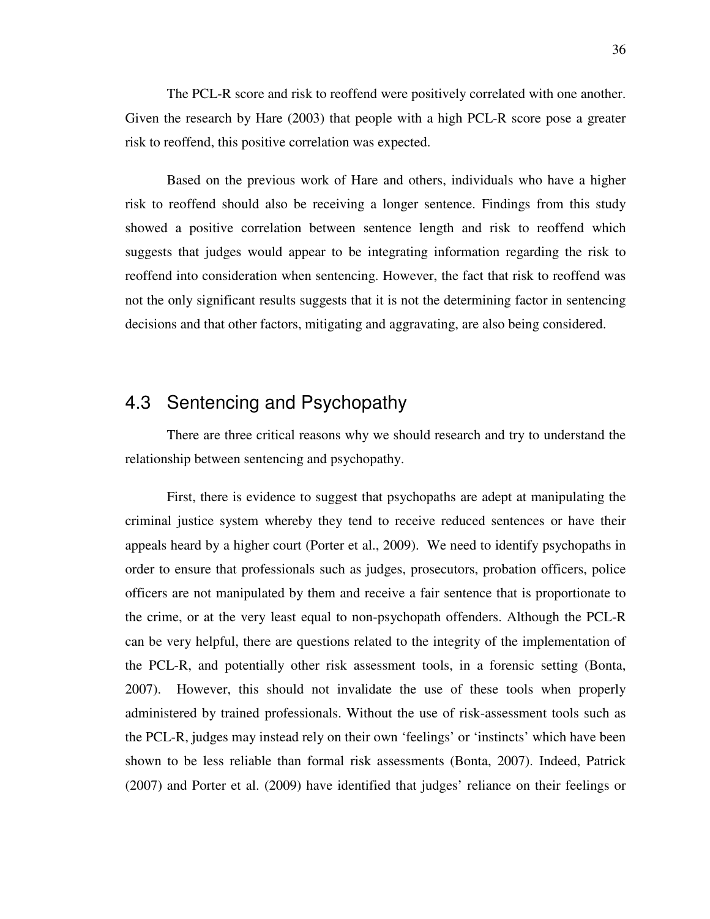The PCL-R score and risk to reoffend were positively correlated with one another. Given the research by Hare (2003) that people with a high PCL-R score pose a greater risk to reoffend, this positive correlation was expected.

Based on the previous work of Hare and others, individuals who have a higher risk to reoffend should also be receiving a longer sentence. Findings from this study showed a positive correlation between sentence length and risk to reoffend which suggests that judges would appear to be integrating information regarding the risk to reoffend into consideration when sentencing. However, the fact that risk to reoffend was not the only significant results suggests that it is not the determining factor in sentencing decisions and that other factors, mitigating and aggravating, are also being considered.

#### 4.3 Sentencing and Psychopathy

There are three critical reasons why we should research and try to understand the relationship between sentencing and psychopathy.

First, there is evidence to suggest that psychopaths are adept at manipulating the criminal justice system whereby they tend to receive reduced sentences or have their appeals heard by a higher court (Porter et al., 2009). We need to identify psychopaths in order to ensure that professionals such as judges, prosecutors, probation officers, police officers are not manipulated by them and receive a fair sentence that is proportionate to the crime, or at the very least equal to non-psychopath offenders. Although the PCL-R can be very helpful, there are questions related to the integrity of the implementation of the PCL-R, and potentially other risk assessment tools, in a forensic setting (Bonta, 2007). However, this should not invalidate the use of these tools when properly administered by trained professionals. Without the use of risk-assessment tools such as the PCL-R, judges may instead rely on their own 'feelings' or 'instincts' which have been shown to be less reliable than formal risk assessments (Bonta, 2007). Indeed, Patrick (2007) and Porter et al. (2009) have identified that judges' reliance on their feelings or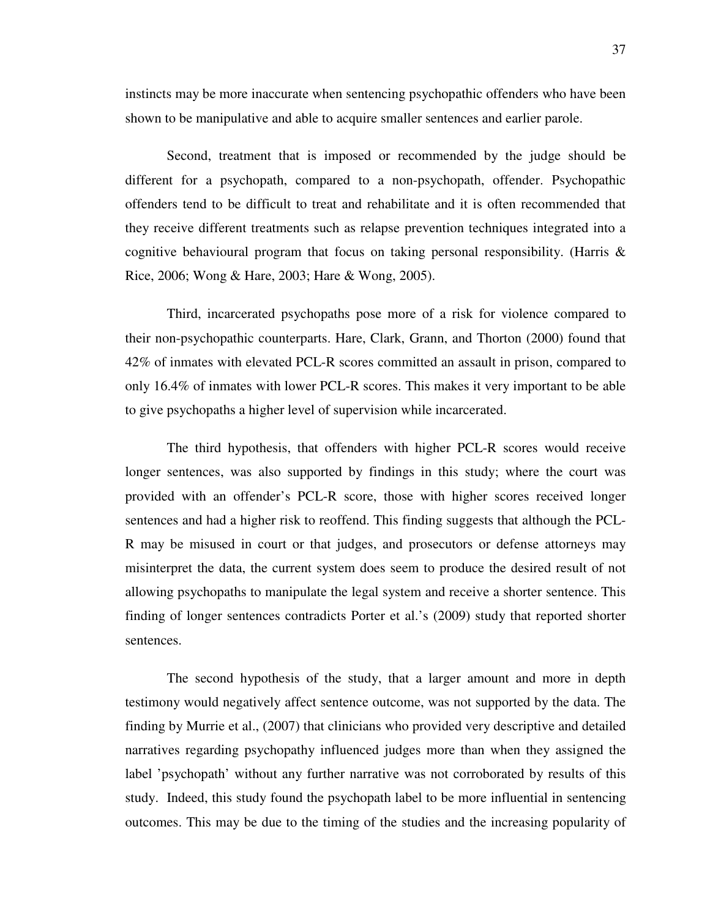instincts may be more inaccurate when sentencing psychopathic offenders who have been shown to be manipulative and able to acquire smaller sentences and earlier parole.

Second, treatment that is imposed or recommended by the judge should be different for a psychopath, compared to a non-psychopath, offender. Psychopathic offenders tend to be difficult to treat and rehabilitate and it is often recommended that they receive different treatments such as relapse prevention techniques integrated into a cognitive behavioural program that focus on taking personal responsibility. (Harris & Rice, 2006; Wong & Hare, 2003; Hare & Wong, 2005).

Third, incarcerated psychopaths pose more of a risk for violence compared to their non-psychopathic counterparts. Hare, Clark, Grann, and Thorton (2000) found that 42% of inmates with elevated PCL-R scores committed an assault in prison, compared to only 16.4% of inmates with lower PCL-R scores. This makes it very important to be able to give psychopaths a higher level of supervision while incarcerated.

The third hypothesis, that offenders with higher PCL-R scores would receive longer sentences, was also supported by findings in this study; where the court was provided with an offender's PCL-R score, those with higher scores received longer sentences and had a higher risk to reoffend. This finding suggests that although the PCL-R may be misused in court or that judges, and prosecutors or defense attorneys may misinterpret the data, the current system does seem to produce the desired result of not allowing psychopaths to manipulate the legal system and receive a shorter sentence. This finding of longer sentences contradicts Porter et al.'s (2009) study that reported shorter sentences.

The second hypothesis of the study, that a larger amount and more in depth testimony would negatively affect sentence outcome, was not supported by the data. The finding by Murrie et al., (2007) that clinicians who provided very descriptive and detailed narratives regarding psychopathy influenced judges more than when they assigned the label 'psychopath' without any further narrative was not corroborated by results of this study. Indeed, this study found the psychopath label to be more influential in sentencing outcomes. This may be due to the timing of the studies and the increasing popularity of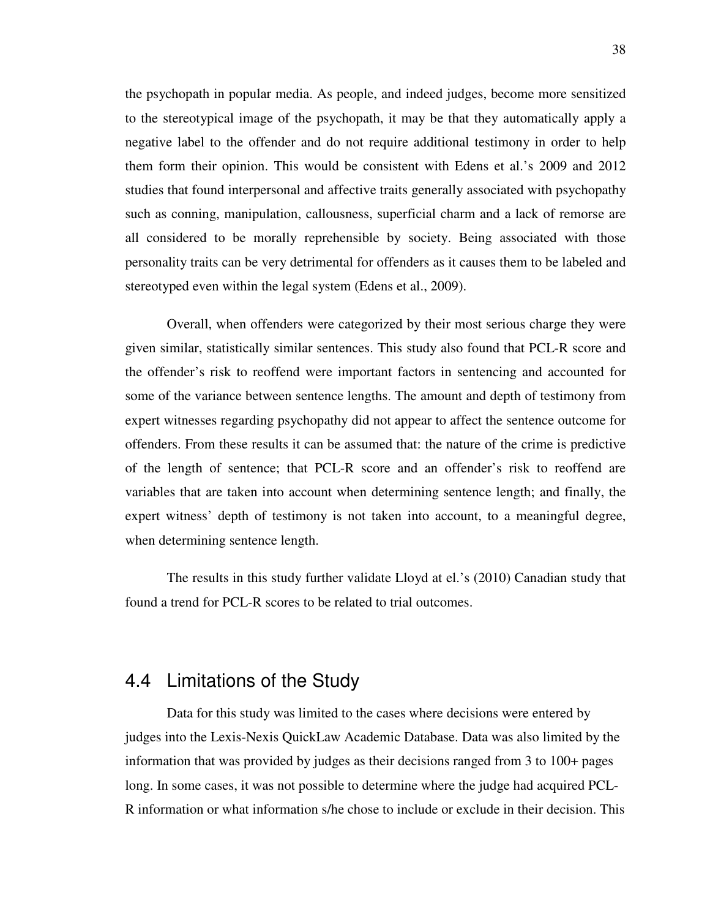the psychopath in popular media. As people, and indeed judges, become more sensitized to the stereotypical image of the psychopath, it may be that they automatically apply a negative label to the offender and do not require additional testimony in order to help them form their opinion. This would be consistent with Edens et al.'s 2009 and 2012 studies that found interpersonal and affective traits generally associated with psychopathy such as conning, manipulation, callousness, superficial charm and a lack of remorse are all considered to be morally reprehensible by society. Being associated with those personality traits can be very detrimental for offenders as it causes them to be labeled and stereotyped even within the legal system (Edens et al., 2009).

Overall, when offenders were categorized by their most serious charge they were given similar, statistically similar sentences. This study also found that PCL-R score and the offender's risk to reoffend were important factors in sentencing and accounted for some of the variance between sentence lengths. The amount and depth of testimony from expert witnesses regarding psychopathy did not appear to affect the sentence outcome for offenders. From these results it can be assumed that: the nature of the crime is predictive of the length of sentence; that PCL-R score and an offender's risk to reoffend are variables that are taken into account when determining sentence length; and finally, the expert witness' depth of testimony is not taken into account, to a meaningful degree, when determining sentence length.

The results in this study further validate Lloyd at el.'s (2010) Canadian study that found a trend for PCL-R scores to be related to trial outcomes.

#### 4.4 Limitations of the Study

Data for this study was limited to the cases where decisions were entered by judges into the Lexis-Nexis QuickLaw Academic Database. Data was also limited by the information that was provided by judges as their decisions ranged from 3 to 100+ pages long. In some cases, it was not possible to determine where the judge had acquired PCL-R information or what information s/he chose to include or exclude in their decision. This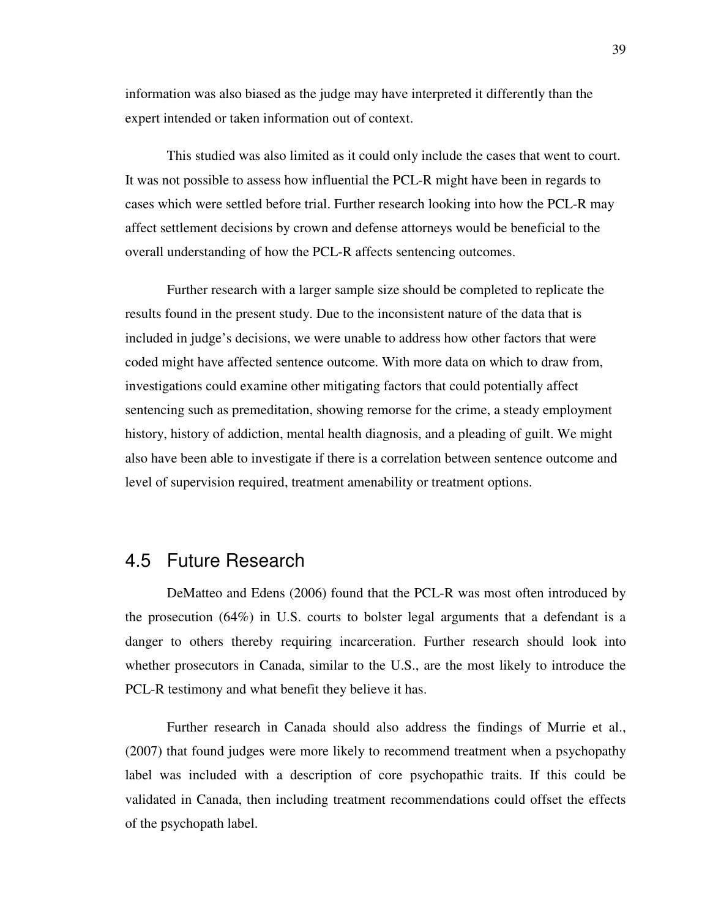information was also biased as the judge may have interpreted it differently than the expert intended or taken information out of context.

This studied was also limited as it could only include the cases that went to court. It was not possible to assess how influential the PCL-R might have been in regards to cases which were settled before trial. Further research looking into how the PCL-R may affect settlement decisions by crown and defense attorneys would be beneficial to the overall understanding of how the PCL-R affects sentencing outcomes.

Further research with a larger sample size should be completed to replicate the results found in the present study. Due to the inconsistent nature of the data that is included in judge's decisions, we were unable to address how other factors that were coded might have affected sentence outcome. With more data on which to draw from, investigations could examine other mitigating factors that could potentially affect sentencing such as premeditation, showing remorse for the crime, a steady employment history, history of addiction, mental health diagnosis, and a pleading of guilt. We might also have been able to investigate if there is a correlation between sentence outcome and level of supervision required, treatment amenability or treatment options.

#### 4.5 Future Research

DeMatteo and Edens (2006) found that the PCL-R was most often introduced by the prosecution  $(64%)$  in U.S. courts to bolster legal arguments that a defendant is a danger to others thereby requiring incarceration. Further research should look into whether prosecutors in Canada, similar to the U.S., are the most likely to introduce the PCL-R testimony and what benefit they believe it has.

Further research in Canada should also address the findings of Murrie et al., (2007) that found judges were more likely to recommend treatment when a psychopathy label was included with a description of core psychopathic traits. If this could be validated in Canada, then including treatment recommendations could offset the effects of the psychopath label.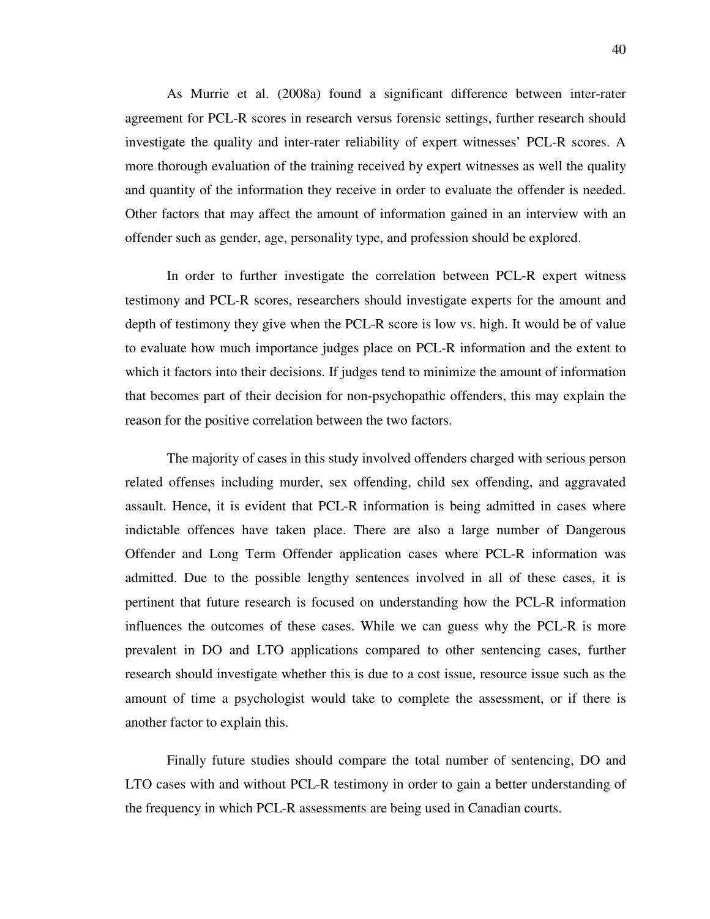As Murrie et al. (2008a) found a significant difference between inter-rater agreement for PCL-R scores in research versus forensic settings, further research should investigate the quality and inter-rater reliability of expert witnesses' PCL-R scores. A more thorough evaluation of the training received by expert witnesses as well the quality and quantity of the information they receive in order to evaluate the offender is needed. Other factors that may affect the amount of information gained in an interview with an offender such as gender, age, personality type, and profession should be explored.

In order to further investigate the correlation between PCL-R expert witness testimony and PCL-R scores, researchers should investigate experts for the amount and depth of testimony they give when the PCL-R score is low vs. high. It would be of value to evaluate how much importance judges place on PCL-R information and the extent to which it factors into their decisions. If judges tend to minimize the amount of information that becomes part of their decision for non-psychopathic offenders, this may explain the reason for the positive correlation between the two factors.

The majority of cases in this study involved offenders charged with serious person related offenses including murder, sex offending, child sex offending, and aggravated assault. Hence, it is evident that PCL-R information is being admitted in cases where indictable offences have taken place. There are also a large number of Dangerous Offender and Long Term Offender application cases where PCL-R information was admitted. Due to the possible lengthy sentences involved in all of these cases, it is pertinent that future research is focused on understanding how the PCL-R information influences the outcomes of these cases. While we can guess why the PCL-R is more prevalent in DO and LTO applications compared to other sentencing cases, further research should investigate whether this is due to a cost issue, resource issue such as the amount of time a psychologist would take to complete the assessment, or if there is another factor to explain this.

Finally future studies should compare the total number of sentencing, DO and LTO cases with and without PCL-R testimony in order to gain a better understanding of the frequency in which PCL-R assessments are being used in Canadian courts.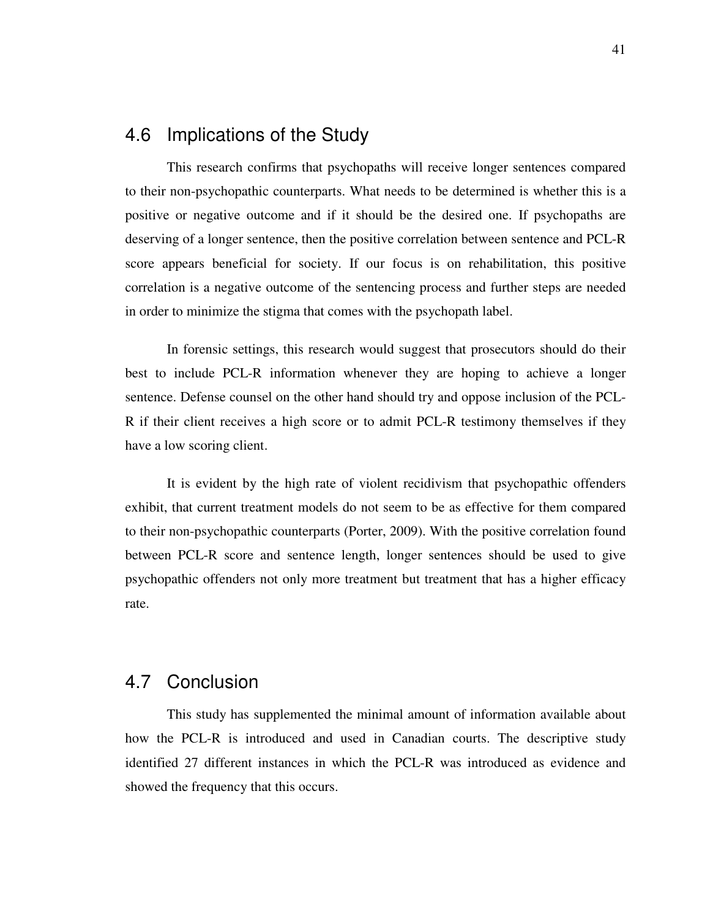#### 4.6 Implications of the Study

This research confirms that psychopaths will receive longer sentences compared to their non-psychopathic counterparts. What needs to be determined is whether this is a positive or negative outcome and if it should be the desired one. If psychopaths are deserving of a longer sentence, then the positive correlation between sentence and PCL-R score appears beneficial for society. If our focus is on rehabilitation, this positive correlation is a negative outcome of the sentencing process and further steps are needed in order to minimize the stigma that comes with the psychopath label.

In forensic settings, this research would suggest that prosecutors should do their best to include PCL-R information whenever they are hoping to achieve a longer sentence. Defense counsel on the other hand should try and oppose inclusion of the PCL-R if their client receives a high score or to admit PCL-R testimony themselves if they have a low scoring client.

It is evident by the high rate of violent recidivism that psychopathic offenders exhibit, that current treatment models do not seem to be as effective for them compared to their non-psychopathic counterparts (Porter, 2009). With the positive correlation found between PCL-R score and sentence length, longer sentences should be used to give psychopathic offenders not only more treatment but treatment that has a higher efficacy rate.

#### 4.7 Conclusion

This study has supplemented the minimal amount of information available about how the PCL-R is introduced and used in Canadian courts. The descriptive study identified 27 different instances in which the PCL-R was introduced as evidence and showed the frequency that this occurs.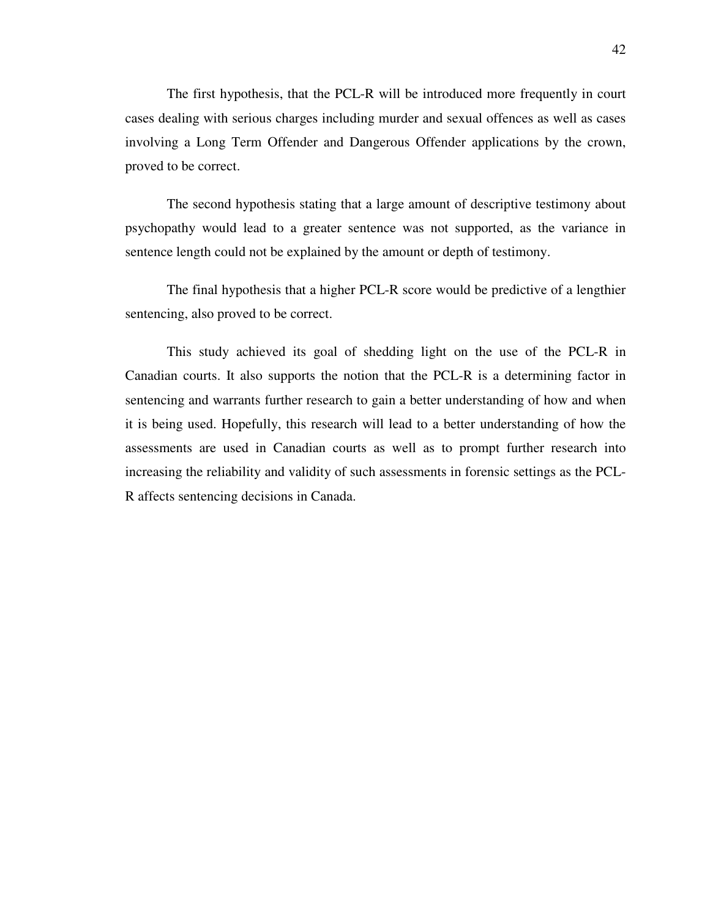The first hypothesis, that the PCL-R will be introduced more frequently in court cases dealing with serious charges including murder and sexual offences as well as cases involving a Long Term Offender and Dangerous Offender applications by the crown, proved to be correct.

The second hypothesis stating that a large amount of descriptive testimony about psychopathy would lead to a greater sentence was not supported, as the variance in sentence length could not be explained by the amount or depth of testimony.

The final hypothesis that a higher PCL-R score would be predictive of a lengthier sentencing, also proved to be correct.

This study achieved its goal of shedding light on the use of the PCL-R in Canadian courts. It also supports the notion that the PCL-R is a determining factor in sentencing and warrants further research to gain a better understanding of how and when it is being used. Hopefully, this research will lead to a better understanding of how the assessments are used in Canadian courts as well as to prompt further research into increasing the reliability and validity of such assessments in forensic settings as the PCL-R affects sentencing decisions in Canada.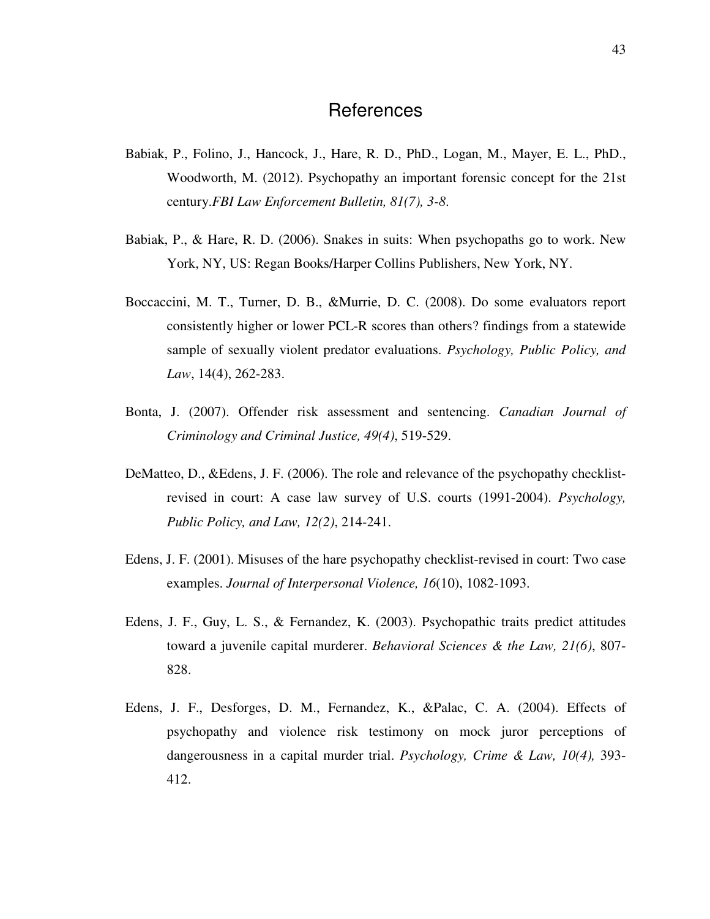#### **References**

- Babiak, P., Folino, J., Hancock, J., Hare, R. D., PhD., Logan, M., Mayer, E. L., PhD., Woodworth, M. (2012). Psychopathy an important forensic concept for the 21st century.*FBI Law Enforcement Bulletin, 81(7), 3-8*.
- Babiak, P., & Hare, R. D. (2006). Snakes in suits: When psychopaths go to work. New York, NY, US: Regan Books/Harper Collins Publishers, New York, NY.
- Boccaccini, M. T., Turner, D. B., &Murrie, D. C. (2008). Do some evaluators report consistently higher or lower PCL-R scores than others? findings from a statewide sample of sexually violent predator evaluations. *Psychology, Public Policy, and Law*, 14(4), 262-283.
- Bonta, J. (2007). Offender risk assessment and sentencing. *Canadian Journal of Criminology and Criminal Justice, 49(4)*, 519-529.
- DeMatteo, D., &Edens, J. F. (2006). The role and relevance of the psychopathy checklistrevised in court: A case law survey of U.S. courts (1991-2004). *Psychology, Public Policy, and Law, 12(2)*, 214-241.
- Edens, J. F. (2001). Misuses of the hare psychopathy checklist-revised in court: Two case examples. *Journal of Interpersonal Violence, 16*(10), 1082-1093.
- Edens, J. F., Guy, L. S., & Fernandez, K. (2003). Psychopathic traits predict attitudes toward a juvenile capital murderer. *Behavioral Sciences & the Law, 21(6)*, 807- 828.
- Edens, J. F., Desforges, D. M., Fernandez, K., &Palac, C. A. (2004). Effects of psychopathy and violence risk testimony on mock juror perceptions of dangerousness in a capital murder trial. *Psychology, Crime & Law, 10(4),* 393- 412.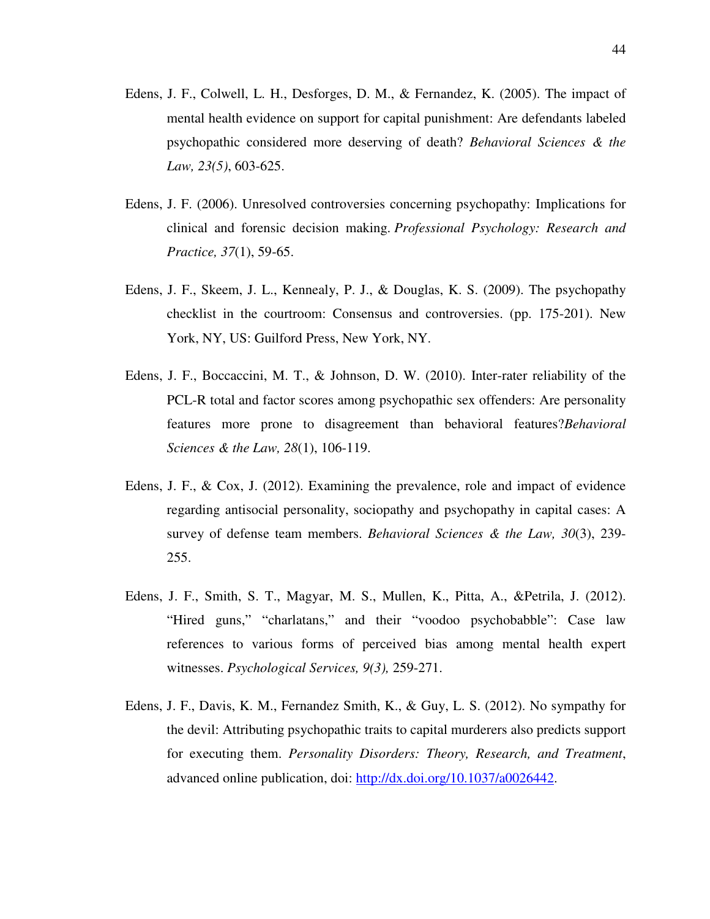- Edens, J. F., Colwell, L. H., Desforges, D. M., & Fernandez, K. (2005). The impact of mental health evidence on support for capital punishment: Are defendants labeled psychopathic considered more deserving of death? *Behavioral Sciences & the Law, 23(5)*, 603-625.
- Edens, J. F. (2006). Unresolved controversies concerning psychopathy: Implications for clinical and forensic decision making. *Professional Psychology: Research and Practice, 37*(1), 59-65.
- Edens, J. F., Skeem, J. L., Kennealy, P. J., & Douglas, K. S. (2009). The psychopathy checklist in the courtroom: Consensus and controversies. (pp. 175-201). New York, NY, US: Guilford Press, New York, NY.
- Edens, J. F., Boccaccini, M. T., & Johnson, D. W. (2010). Inter-rater reliability of the PCL-R total and factor scores among psychopathic sex offenders: Are personality features more prone to disagreement than behavioral features?*Behavioral Sciences & the Law, 28*(1), 106-119.
- Edens, J. F., & Cox, J. (2012). Examining the prevalence, role and impact of evidence regarding antisocial personality, sociopathy and psychopathy in capital cases: A survey of defense team members. *Behavioral Sciences & the Law, 30*(3), 239- 255.
- Edens, J. F., Smith, S. T., Magyar, M. S., Mullen, K., Pitta, A., &Petrila, J. (2012). "Hired guns," "charlatans," and their "voodoo psychobabble": Case law references to various forms of perceived bias among mental health expert witnesses. *Psychological Services, 9(3),* 259-271.
- Edens, J. F., Davis, K. M., Fernandez Smith, K., & Guy, L. S. (2012). No sympathy for the devil: Attributing psychopathic traits to capital murderers also predicts support for executing them. *Personality Disorders: Theory, Research, and Treatment*, advanced online publication, doi: http://dx.doi.org/10.1037/a0026442.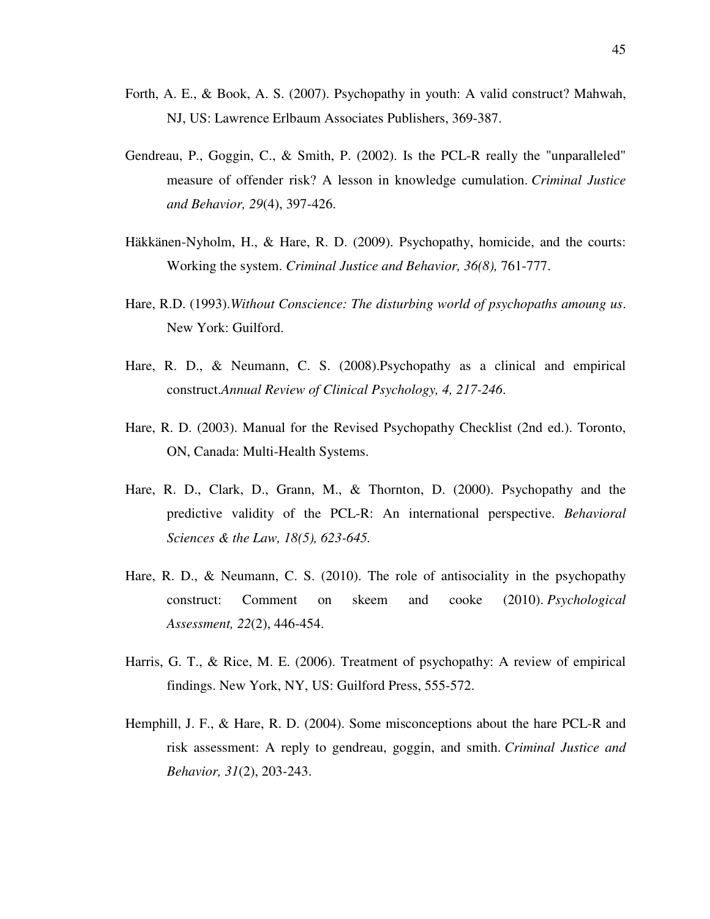- Forth, A. E., & Book, A. S. (2007). Psychopathy in youth: A valid construct? Mahwah, NJ, US: Lawrence Erlbaum Associates Publishers, 369-387.
- Gendreau, P., Goggin, C., & Smith, P. (2002). Is the PCL-R really the "unparalleled" measure of offender risk? A lesson in knowledge cumulation. *Criminal Justice and Behavior, 29*(4), 397-426.
- Häkkänen-Nyholm, H., & Hare, R. D. (2009). Psychopathy, homicide, and the courts: Working the system. *Criminal Justice and Behavior, 36(8),* 761-777.
- Hare, R.D. (1993).*Without Conscience: The disturbing world of psychopaths amoung us*. New York: Guilford.
- Hare, R. D., & Neumann, C. S. (2008).Psychopathy as a clinical and empirical construct.*Annual Review of Clinical Psychology, 4, 217-246*.
- Hare, R. D. (2003). Manual for the Revised Psychopathy Checklist (2nd ed.). Toronto, ON, Canada: Multi-Health Systems.
- Hare, R. D., Clark, D., Grann, M., & Thornton, D. (2000). Psychopathy and the predictive validity of the PCL-R: An international perspective. *Behavioral Sciences & the Law, 18(5), 623-645.*
- Hare, R. D., & Neumann, C. S. (2010). The role of antisociality in the psychopathy construct: Comment on skeem and cooke (2010). *Psychological Assessment, 22*(2), 446-454.
- Harris, G. T., & Rice, M. E. (2006). Treatment of psychopathy: A review of empirical findings. New York, NY, US: Guilford Press, 555-572.
- Hemphill, J. F., & Hare, R. D. (2004). Some misconceptions about the hare PCL-R and risk assessment: A reply to gendreau, goggin, and smith. *Criminal Justice and Behavior, 31*(2), 203-243.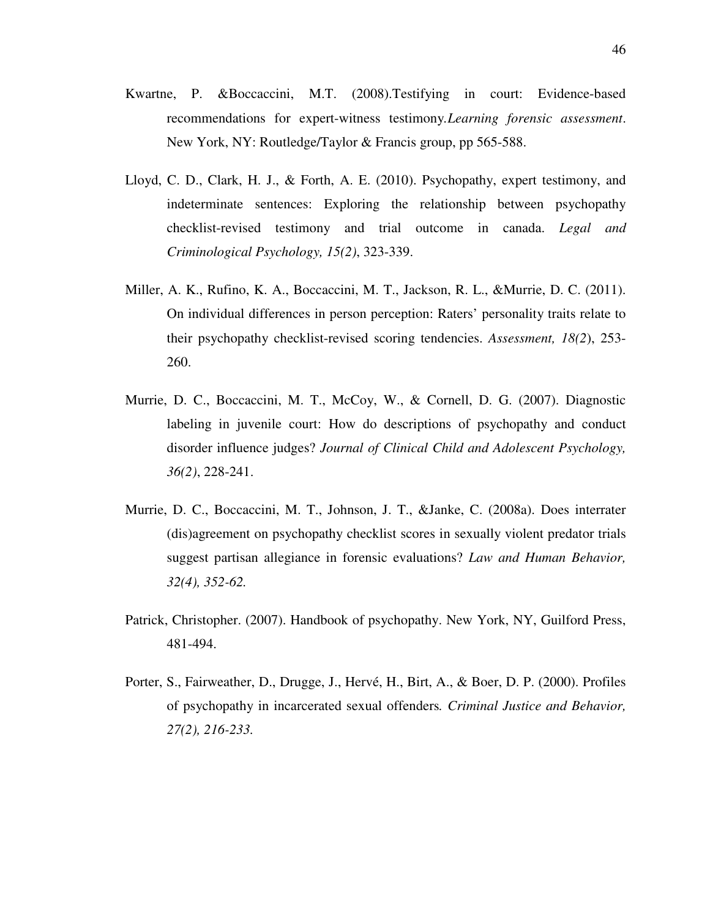- Kwartne, P. &Boccaccini, M.T. (2008).Testifying in court: Evidence-based recommendations for expert-witness testimony*.Learning forensic assessment*. New York, NY: Routledge/Taylor & Francis group, pp 565-588.
- Lloyd, C. D., Clark, H. J., & Forth, A. E. (2010). Psychopathy, expert testimony, and indeterminate sentences: Exploring the relationship between psychopathy checklist-revised testimony and trial outcome in canada. *Legal and Criminological Psychology, 15(2)*, 323-339.
- Miller, A. K., Rufino, K. A., Boccaccini, M. T., Jackson, R. L., &Murrie, D. C. (2011). On individual differences in person perception: Raters' personality traits relate to their psychopathy checklist-revised scoring tendencies. *Assessment, 18(2*), 253- 260.
- Murrie, D. C., Boccaccini, M. T., McCoy, W., & Cornell, D. G. (2007). Diagnostic labeling in juvenile court: How do descriptions of psychopathy and conduct disorder influence judges? *Journal of Clinical Child and Adolescent Psychology, 36(2)*, 228-241.
- Murrie, D. C., Boccaccini, M. T., Johnson, J. T., &Janke, C. (2008a). Does interrater (dis)agreement on psychopathy checklist scores in sexually violent predator trials suggest partisan allegiance in forensic evaluations? *Law and Human Behavior, 32(4), 352-62.*
- Patrick, Christopher. (2007). Handbook of psychopathy. New York, NY, Guilford Press, 481-494.
- Porter, S., Fairweather, D., Drugge, J., Hervé, H., Birt, A., & Boer, D. P. (2000). Profiles of psychopathy in incarcerated sexual offenders*. Criminal Justice and Behavior, 27(2), 216-233.*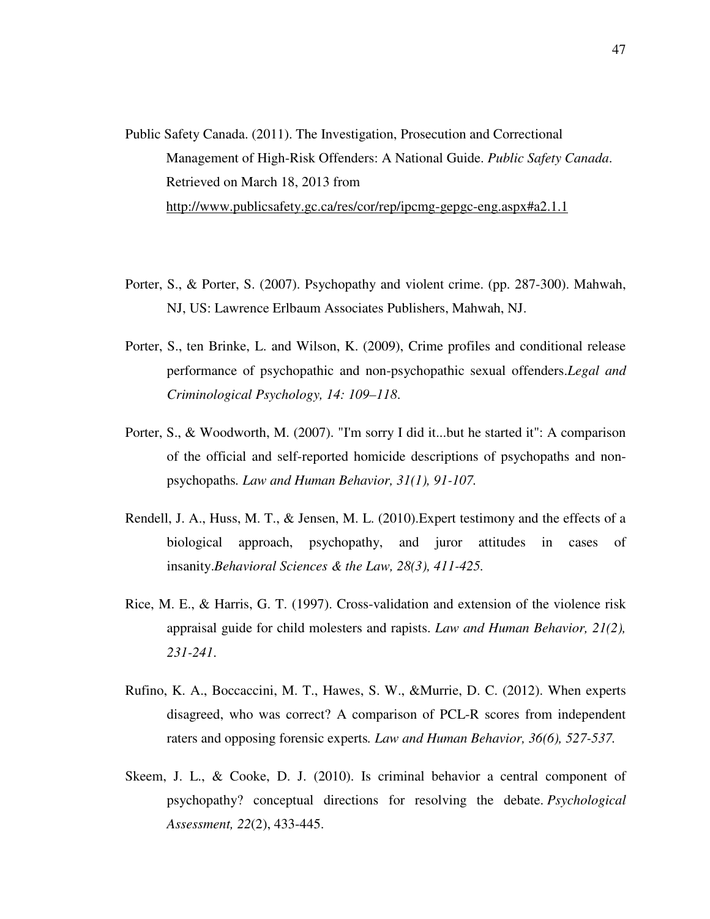- Public Safety Canada. (2011). The Investigation, Prosecution and Correctional Management of High-Risk Offenders: A National Guide. *Public Safety Canada*. Retrieved on March 18, 2013 from http://www.publicsafety.gc.ca/res/cor/rep/ipcmg-gepgc-eng.aspx#a2.1.1
- Porter, S., & Porter, S. (2007). Psychopathy and violent crime. (pp. 287-300). Mahwah, NJ, US: Lawrence Erlbaum Associates Publishers, Mahwah, NJ.
- Porter, S., ten Brinke, L. and Wilson, K. (2009), Crime profiles and conditional release performance of psychopathic and non-psychopathic sexual offenders.*Legal and Criminological Psychology, 14: 109–118*.
- Porter, S., & Woodworth, M. (2007). "I'm sorry I did it...but he started it": A comparison of the official and self-reported homicide descriptions of psychopaths and nonpsychopaths*. Law and Human Behavior, 31(1), 91-107.*
- Rendell, J. A., Huss, M. T., & Jensen, M. L. (2010).Expert testimony and the effects of a biological approach, psychopathy, and juror attitudes in cases of insanity.*Behavioral Sciences & the Law, 28(3), 411-425.*
- Rice, M. E., & Harris, G. T. (1997). Cross-validation and extension of the violence risk appraisal guide for child molesters and rapists. *Law and Human Behavior, 21(2), 231-241*.
- Rufino, K. A., Boccaccini, M. T., Hawes, S. W., &Murrie, D. C. (2012). When experts disagreed, who was correct? A comparison of PCL-R scores from independent raters and opposing forensic experts*. Law and Human Behavior, 36(6), 527-537.*
- Skeem, J. L., & Cooke, D. J. (2010). Is criminal behavior a central component of psychopathy? conceptual directions for resolving the debate. *Psychological Assessment, 22*(2), 433-445.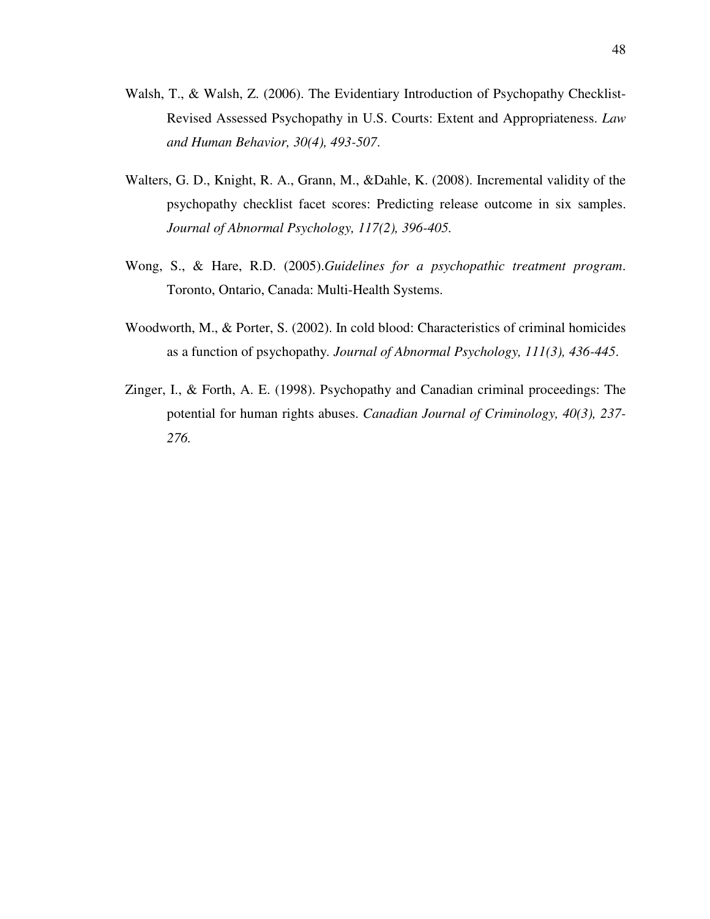- Walsh, T., & Walsh, Z. (2006). The Evidentiary Introduction of Psychopathy Checklist-Revised Assessed Psychopathy in U.S. Courts: Extent and Appropriateness. *Law and Human Behavior, 30(4), 493-507*.
- Walters, G. D., Knight, R. A., Grann, M., &Dahle, K. (2008). Incremental validity of the psychopathy checklist facet scores: Predicting release outcome in six samples. *Journal of Abnormal Psychology, 117(2), 396-405.*
- Wong, S., & Hare, R.D. (2005).*Guidelines for a psychopathic treatment program*. Toronto, Ontario, Canada: Multi-Health Systems.
- Woodworth, M., & Porter, S. (2002). In cold blood: Characteristics of criminal homicides as a function of psychopathy*. Journal of Abnormal Psychology, 111(3), 436-445*.
- Zinger, I., & Forth, A. E. (1998). Psychopathy and Canadian criminal proceedings: The potential for human rights abuses. *Canadian Journal of Criminology, 40(3), 237- 276.*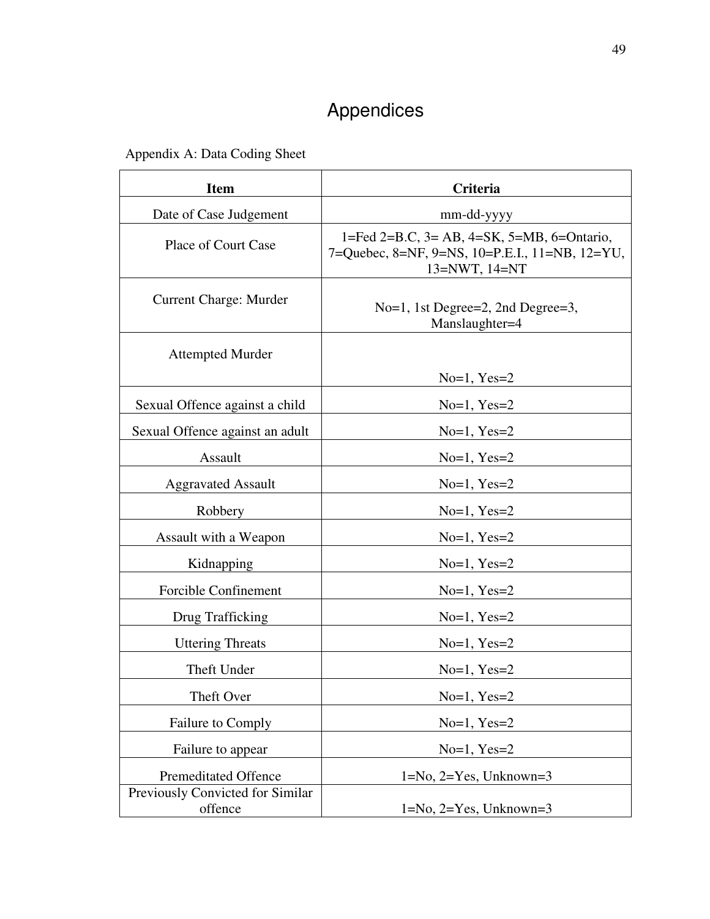# Appendices

Appendix A: Data Coding Sheet

| <b>Item</b>                                 | Criteria                                                                                                      |  |
|---------------------------------------------|---------------------------------------------------------------------------------------------------------------|--|
| Date of Case Judgement                      | mm-dd-yyyy                                                                                                    |  |
| <b>Place of Court Case</b>                  | 1=Fed 2=B.C, 3= AB, 4=SK, 5=MB, 6=Ontario,<br>7=Quebec, 8=NF, 9=NS, 10=P.E.I., 11=NB, 12=YU,<br>13=NWT, 14=NT |  |
| <b>Current Charge: Murder</b>               | No=1, 1st Degree=2, 2nd Degree=3,<br>Manslaughter=4                                                           |  |
| <b>Attempted Murder</b>                     |                                                                                                               |  |
|                                             | $No=1, Yes=2$                                                                                                 |  |
| Sexual Offence against a child              | $No=1, Yes=2$                                                                                                 |  |
| Sexual Offence against an adult             | $No=1, Yes=2$                                                                                                 |  |
| Assault                                     | $No=1, Yes=2$                                                                                                 |  |
| <b>Aggravated Assault</b>                   | $No=1, Yes=2$                                                                                                 |  |
| Robbery                                     | $No=1, Yes=2$                                                                                                 |  |
| Assault with a Weapon                       | $No=1, Yes=2$                                                                                                 |  |
| Kidnapping                                  | $No=1, Yes=2$                                                                                                 |  |
| Forcible Confinement                        | $No=1, Yes=2$                                                                                                 |  |
| Drug Trafficking                            | $No=1, Yes=2$                                                                                                 |  |
| <b>Uttering Threats</b>                     | $No=1, Yes=2$                                                                                                 |  |
| Theft Under                                 | $No=1, Yes=2$                                                                                                 |  |
| Theft Over                                  | $No=1, Yes=2$                                                                                                 |  |
| Failure to Comply                           | $No=1, Yes=2$                                                                                                 |  |
| Failure to appear                           | $No=1, Yes=2$                                                                                                 |  |
| <b>Premeditated Offence</b>                 | $1=N_0$ , $2=Y$ es, Unknown=3                                                                                 |  |
| Previously Convicted for Similar<br>offence | $1=N_0$ , $2=Y$ es, Unknown=3                                                                                 |  |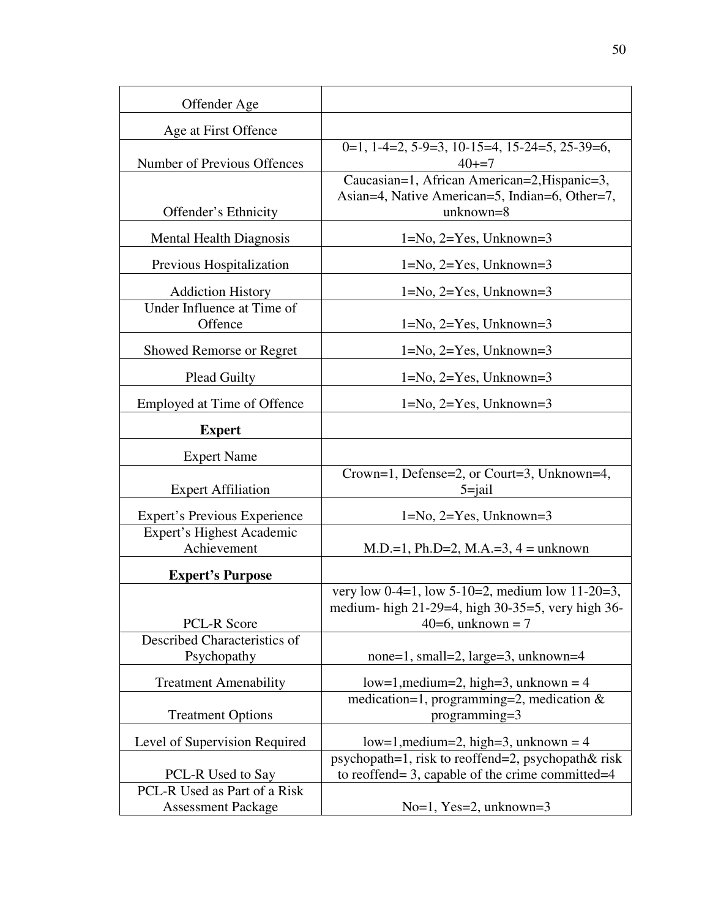| Offender Age                                  |                                                                                                                           |
|-----------------------------------------------|---------------------------------------------------------------------------------------------------------------------------|
| Age at First Offence                          |                                                                                                                           |
| Number of Previous Offences                   | $0=1, 1-4=2, 5-9=3, 10-15=4, 15-24=5, 25-39=6,$<br>$40 + 7$                                                               |
| Offender's Ethnicity                          | Caucasian=1, African American=2, Hispanic=3,<br>Asian=4, Native American=5, Indian=6, Other=7,<br>unknown=8               |
| <b>Mental Health Diagnosis</b>                | $1=No, 2=Yes, Unknown=3$                                                                                                  |
| Previous Hospitalization                      | $1=No, 2=Yes, Unknown=3$                                                                                                  |
| <b>Addiction History</b>                      | $1=N_0$ , $2=Y$ es, Unknown=3                                                                                             |
| Under Influence at Time of<br>Offence         | $1=No, 2=Yes, Unknown=3$                                                                                                  |
| <b>Showed Remorse or Regret</b>               | $1=No, 2=Yes, Unknown=3$                                                                                                  |
| <b>Plead Guilty</b>                           | $1=N_0$ , $2=Y$ es, Unknown=3                                                                                             |
| Employed at Time of Offence                   | $1=N_0$ , $2=Y$ es, Unknown=3                                                                                             |
| <b>Expert</b>                                 |                                                                                                                           |
| <b>Expert Name</b>                            |                                                                                                                           |
| <b>Expert Affiliation</b>                     | Crown=1, Defense=2, or Court=3, Unknown=4,<br>$5 =$ jail                                                                  |
| <b>Expert's Previous Experience</b>           | $1=No, 2=Yes, Unknown=3$                                                                                                  |
| Expert's Highest Academic<br>Achievement      |                                                                                                                           |
|                                               | $M.D.=1, Ph.D=2, M.A.=3, 4 = unknown$                                                                                     |
| <b>Expert's Purpose</b><br><b>PCL-R Score</b> | very low 0-4=1, low 5-10=2, medium low 11-20=3,<br>medium- high 21-29=4, high 30-35=5, very high 36-<br>40=6, unknown = 7 |
| Described Characteristics of<br>Psychopathy   | none=1, small=2, large=3, unknown=4                                                                                       |
|                                               |                                                                                                                           |
| <b>Treatment Amenability</b>                  | $low=1$ , medium=2, high=3, unknown = 4<br>medication=1, programming=2, medication $\&$                                   |
| <b>Treatment Options</b>                      | programming=3                                                                                                             |
| Level of Supervision Required                 | $low=1, medium=2, high=3, unknown=4$                                                                                      |
| PCL-R Used to Say                             | psychopath=1, risk to reoffend=2, psychopath& risk<br>to reoffend= 3, capable of the crime committed= $4$                 |
| PCL-R Used as Part of a Risk                  |                                                                                                                           |
| <b>Assessment Package</b>                     | $No=1$ , Yes=2, unknown=3                                                                                                 |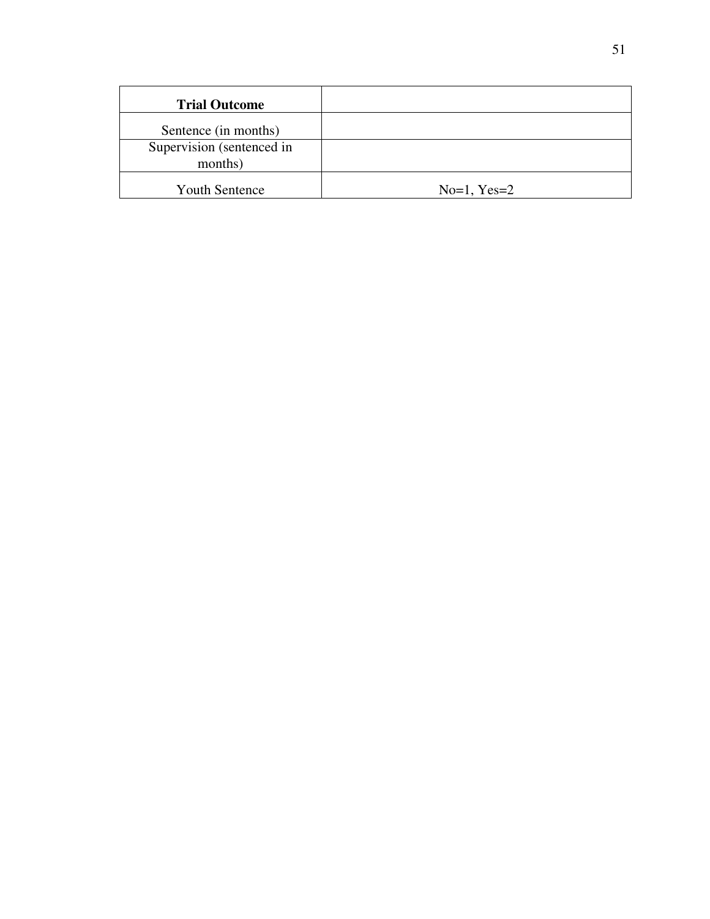| <b>Trial Outcome</b>      |               |
|---------------------------|---------------|
| Sentence (in months)      |               |
| Supervision (sentenced in |               |
| months)                   |               |
| <b>Youth Sentence</b>     | $No=1, Yes=2$ |